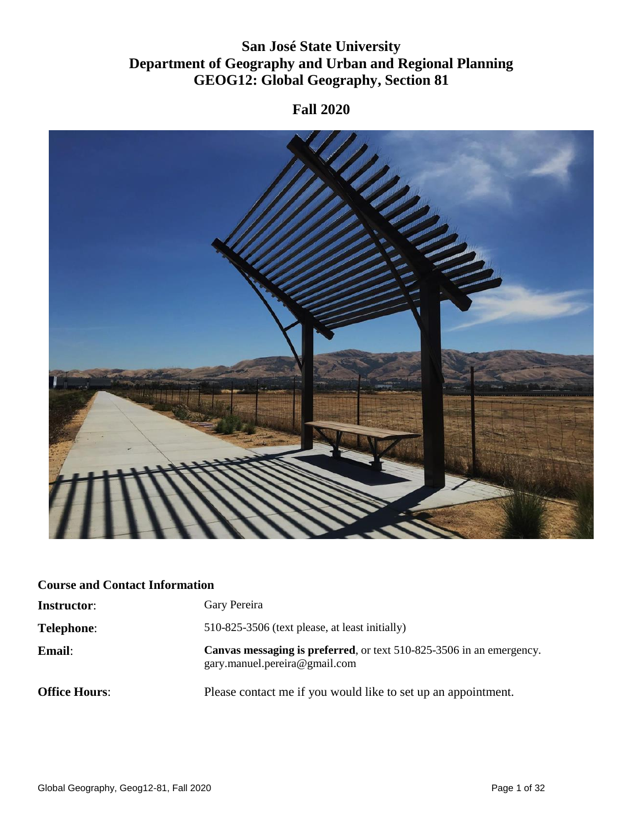# **San José State University Department of Geography and Urban and Regional Planning GEOG12: Global Geography, Section 81**

# **Fall 2020**



# **Course and Contact Information**

| <b>Instructor:</b>   | Gary Pereira                                                                                          |
|----------------------|-------------------------------------------------------------------------------------------------------|
| Telephone:           | 510-825-3506 (text please, at least initially)                                                        |
| <b>Email:</b>        | Canvas messaging is preferred, or text 510-825-3506 in an emergency.<br>gary.manuel.pereira@gmail.com |
| <b>Office Hours:</b> | Please contact me if you would like to set up an appointment.                                         |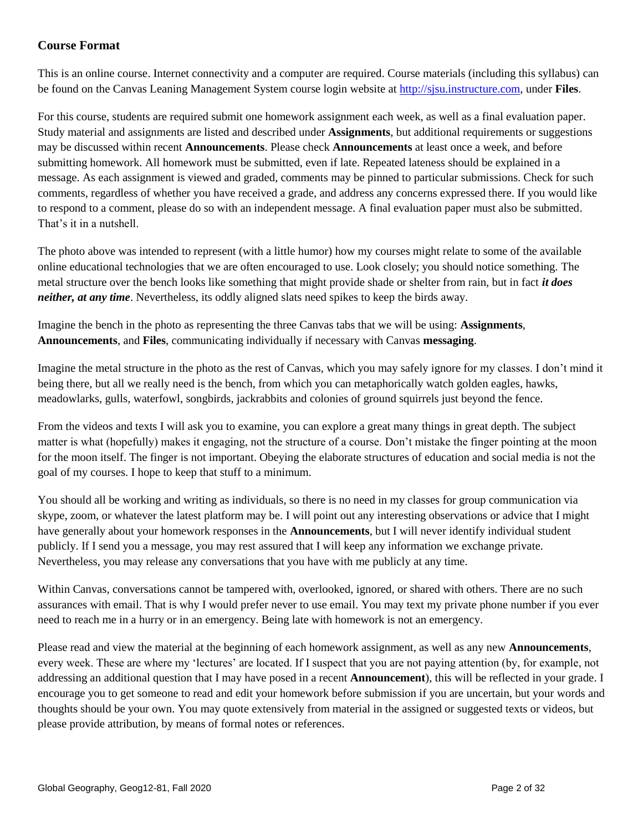## **Course Format**

This is an online course. Internet connectivity and a computer are required. Course materials (including this syllabus) can be found on the Canvas Leaning Management System course login website at [http://sjsu.instructure.com,](http://sjsu.instructure.com/) under **Files**.

For this course, students are required submit one homework assignment each week, as well as a final evaluation paper. Study material and assignments are listed and described under **Assignments**, but additional requirements or suggestions may be discussed within recent **Announcements**. Please check **Announcements** at least once a week, and before submitting homework. All homework must be submitted, even if late. Repeated lateness should be explained in a message. As each assignment is viewed and graded, comments may be pinned to particular submissions. Check for such comments, regardless of whether you have received a grade, and address any concerns expressed there. If you would like to respond to a comment, please do so with an independent message. A final evaluation paper must also be submitted. That's it in a nutshell.

The photo above was intended to represent (with a little humor) how my courses might relate to some of the available online educational technologies that we are often encouraged to use. Look closely; you should notice something. The metal structure over the bench looks like something that might provide shade or shelter from rain, but in fact *it does neither, at any time*. Nevertheless, its oddly aligned slats need spikes to keep the birds away.

Imagine the bench in the photo as representing the three Canvas tabs that we will be using: **Assignments**, **Announcements**, and **Files**, communicating individually if necessary with Canvas **messaging**.

Imagine the metal structure in the photo as the rest of Canvas, which you may safely ignore for my classes. I don't mind it being there, but all we really need is the bench, from which you can metaphorically watch golden eagles, hawks, meadowlarks, gulls, waterfowl, songbirds, jackrabbits and colonies of ground squirrels just beyond the fence.

From the videos and texts I will ask you to examine, you can explore a great many things in great depth. The subject matter is what (hopefully) makes it engaging, not the structure of a course. Don't mistake the finger pointing at the moon for the moon itself. The finger is not important. Obeying the elaborate structures of education and social media is not the goal of my courses. I hope to keep that stuff to a minimum.

You should all be working and writing as individuals, so there is no need in my classes for group communication via skype, zoom, or whatever the latest platform may be. I will point out any interesting observations or advice that I might have generally about your homework responses in the **Announcements**, but I will never identify individual student publicly. If I send you a message, you may rest assured that I will keep any information we exchange private. Nevertheless, you may release any conversations that you have with me publicly at any time.

Within Canvas, conversations cannot be tampered with, overlooked, ignored, or shared with others. There are no such assurances with email. That is why I would prefer never to use email. You may text my private phone number if you ever need to reach me in a hurry or in an emergency. Being late with homework is not an emergency.

Please read and view the material at the beginning of each homework assignment, as well as any new **Announcements**, every week. These are where my 'lectures' are located. If I suspect that you are not paying attention (by, for example, not addressing an additional question that I may have posed in a recent **Announcement**), this will be reflected in your grade. I encourage you to get someone to read and edit your homework before submission if you are uncertain, but your words and thoughts should be your own. You may quote extensively from material in the assigned or suggested texts or videos, but please provide attribution, by means of formal notes or references.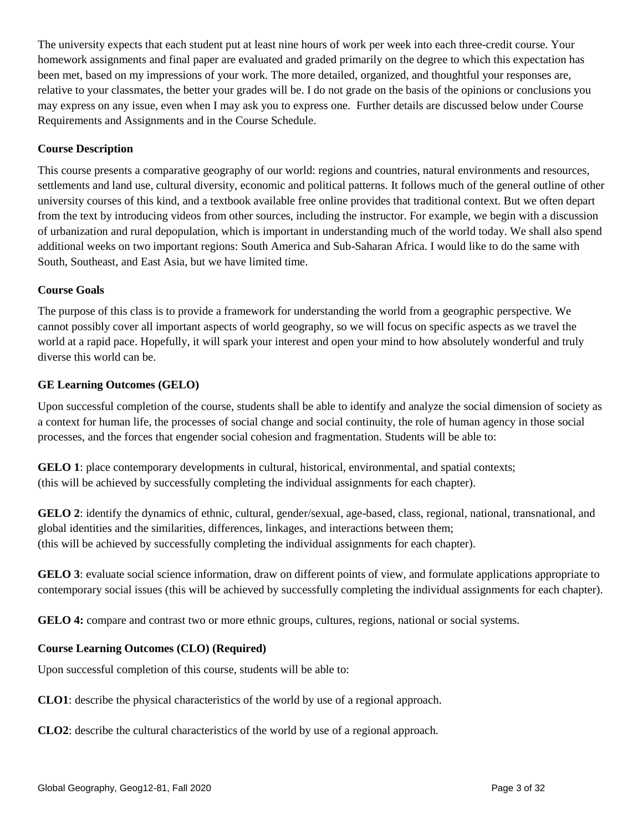The university expects that each student put at least nine hours of work per week into each three-credit course. Your homework assignments and final paper are evaluated and graded primarily on the degree to which this expectation has been met, based on my impressions of your work. The more detailed, organized, and thoughtful your responses are, relative to your classmates, the better your grades will be. I do not grade on the basis of the opinions or conclusions you may express on any issue, even when I may ask you to express one. Further details are discussed below under Course Requirements and Assignments and in the Course Schedule.

#### **Course Description**

This course presents a comparative geography of our world: regions and countries, natural environments and resources, settlements and land use, cultural diversity, economic and political patterns. It follows much of the general outline of other university courses of this kind, and a textbook available free online provides that traditional context. But we often depart from the text by introducing videos from other sources, including the instructor. For example, we begin with a discussion of urbanization and rural depopulation, which is important in understanding much of the world today. We shall also spend additional weeks on two important regions: South America and Sub-Saharan Africa. I would like to do the same with South, Southeast, and East Asia, but we have limited time.

#### **Course Goals**

The purpose of this class is to provide a framework for understanding the world from a geographic perspective. We cannot possibly cover all important aspects of world geography, so we will focus on specific aspects as we travel the world at a rapid pace. Hopefully, it will spark your interest and open your mind to how absolutely wonderful and truly diverse this world can be.

#### **GE Learning Outcomes (GELO)**

Upon successful completion of the course, students shall be able to identify and analyze the social dimension of society as a context for human life, the processes of social change and social continuity, the role of human agency in those social processes, and the forces that engender social cohesion and fragmentation. Students will be able to:

**GELO 1**: place contemporary developments in cultural, historical, environmental, and spatial contexts; (this will be achieved by successfully completing the individual assignments for each chapter).

**GELO 2**: identify the dynamics of ethnic, cultural, gender/sexual, age-based, class, regional, national, transnational, and global identities and the similarities, differences, linkages, and interactions between them; (this will be achieved by successfully completing the individual assignments for each chapter).

**GELO 3**: evaluate social science information, draw on different points of view, and formulate applications appropriate to contemporary social issues (this will be achieved by successfully completing the individual assignments for each chapter).

**GELO 4:** compare and contrast two or more ethnic groups, cultures, regions, national or social systems.

## **Course Learning Outcomes (CLO) (Required)**

Upon successful completion of this course, students will be able to:

**CLO1**: describe the physical characteristics of the world by use of a regional approach.

**CLO2**: describe the cultural characteristics of the world by use of a regional approach.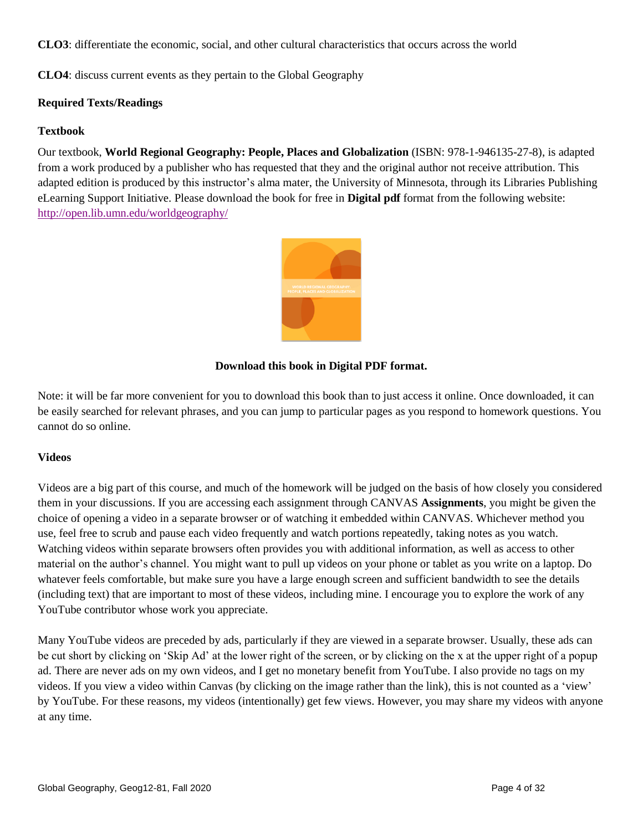**CLO3**: differentiate the economic, social, and other cultural characteristics that occurs across the world

**CLO4**: discuss current events as they pertain to the Global Geography

#### **Required Texts/Readings**

#### **Textbook**

Our textbook, **World Regional Geography: People, Places and Globalization** (ISBN: 978-1-946135-27-8), is adapted from a work produced by a publisher who has requested that they and the original author not receive attribution. This adapted edition is produced by this instructor's alma mater, the University of Minnesota, through its Libraries Publishing eLearning Support Initiative. Please download the book for free in **Digital pdf** format from the following website: <http://open.lib.umn.edu/worldgeography/>



#### **Download this book in Digital PDF format.**

Note: it will be far more convenient for you to download this book than to just access it online. Once downloaded, it can be easily searched for relevant phrases, and you can jump to particular pages as you respond to homework questions. You cannot do so online.

#### **Videos**

Videos are a big part of this course, and much of the homework will be judged on the basis of how closely you considered them in your discussions. If you are accessing each assignment through CANVAS **Assignments**, you might be given the choice of opening a video in a separate browser or of watching it embedded within CANVAS. Whichever method you use, feel free to scrub and pause each video frequently and watch portions repeatedly, taking notes as you watch. Watching videos within separate browsers often provides you with additional information, as well as access to other material on the author's channel. You might want to pull up videos on your phone or tablet as you write on a laptop. Do whatever feels comfortable, but make sure you have a large enough screen and sufficient bandwidth to see the details (including text) that are important to most of these videos, including mine. I encourage you to explore the work of any YouTube contributor whose work you appreciate.

Many YouTube videos are preceded by ads, particularly if they are viewed in a separate browser. Usually, these ads can be cut short by clicking on 'Skip Ad' at the lower right of the screen, or by clicking on the x at the upper right of a popup ad. There are never ads on my own videos, and I get no monetary benefit from YouTube. I also provide no tags on my videos. If you view a video within Canvas (by clicking on the image rather than the link), this is not counted as a 'view' by YouTube. For these reasons, my videos (intentionally) get few views. However, you may share my videos with anyone at any time.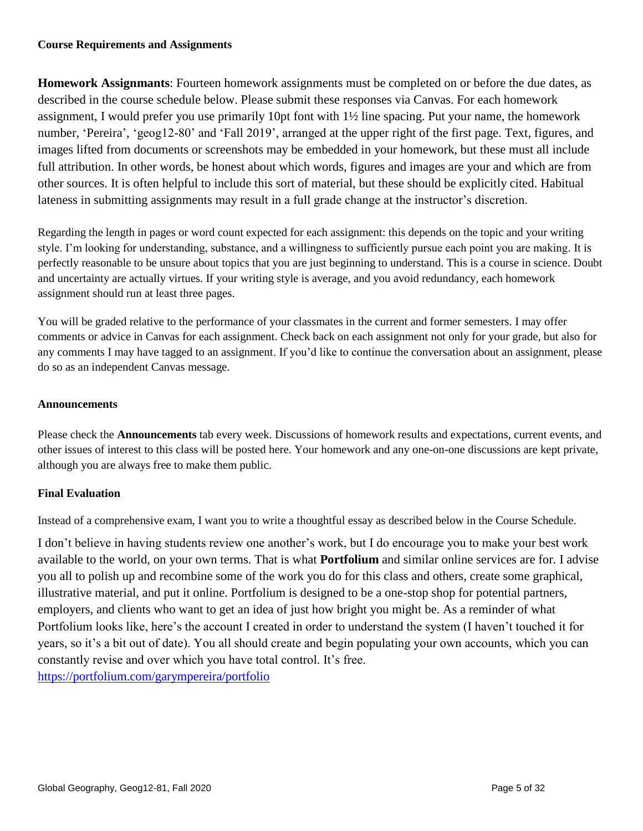#### **Course Requirements and Assignments**

**Homework Assignmants**: Fourteen homework assignments must be completed on or before the due dates, as described in the course schedule below. Please submit these responses via Canvas. For each homework assignment, I would prefer you use primarily 10pt font with 1½ line spacing. Put your name, the homework number, 'Pereira', 'geog12-80' and 'Fall 2019', arranged at the upper right of the first page. Text, figures, and images lifted from documents or screenshots may be embedded in your homework, but these must all include full attribution. In other words, be honest about which words, figures and images are your and which are from other sources. It is often helpful to include this sort of material, but these should be explicitly cited. Habitual lateness in submitting assignments may result in a full grade change at the instructor's discretion.

Regarding the length in pages or word count expected for each assignment: this depends on the topic and your writing style. I'm looking for understanding, substance, and a willingness to sufficiently pursue each point you are making. It is perfectly reasonable to be unsure about topics that you are just beginning to understand. This is a course in science. Doubt and uncertainty are actually virtues. If your writing style is average, and you avoid redundancy, each homework assignment should run at least three pages.

You will be graded relative to the performance of your classmates in the current and former semesters. I may offer comments or advice in Canvas for each assignment. Check back on each assignment not only for your grade, but also for any comments I may have tagged to an assignment. If you'd like to continue the conversation about an assignment, please do so as an independent Canvas message.

#### **Announcements**

Please check the **Announcements** tab every week. Discussions of homework results and expectations, current events, and other issues of interest to this class will be posted here. Your homework and any one-on-one discussions are kept private, although you are always free to make them public.

#### **Final Evaluation**

Instead of a comprehensive exam, I want you to write a thoughtful essay as described below in the Course Schedule.

I don't believe in having students review one another's work, but I do encourage you to make your best work available to the world, on your own terms. That is what **Portfolium** and similar online services are for. I advise you all to polish up and recombine some of the work you do for this class and others, create some graphical, illustrative material, and put it online. Portfolium is designed to be a one-stop shop for potential partners, employers, and clients who want to get an idea of just how bright you might be. As a reminder of what Portfolium looks like, here's the account I created in order to understand the system (I haven't touched it for years, so it's a bit out of date). You all should create and begin populating your own accounts, which you can constantly revise and over which you have total control. It's free.

<https://portfolium.com/garympereira/portfolio>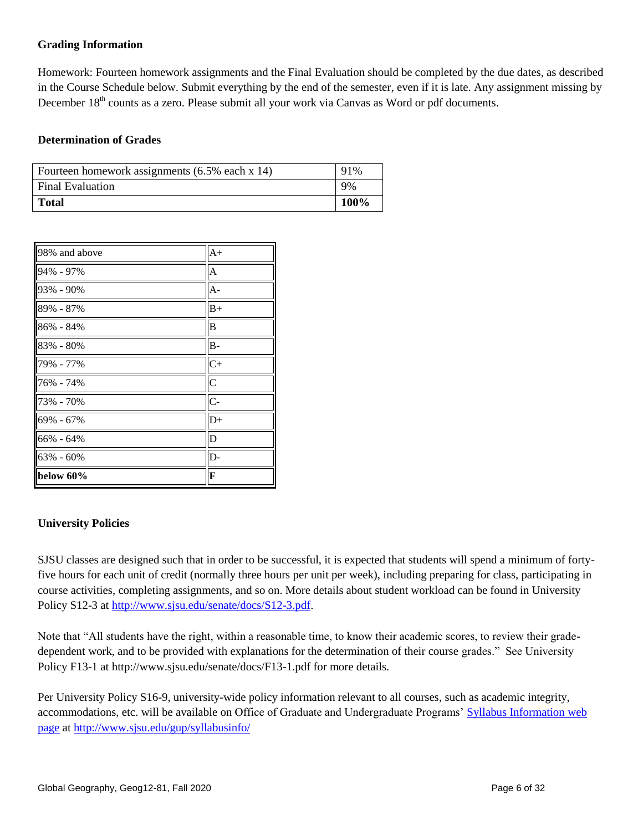### **Grading Information**

Homework: Fourteen homework assignments and the Final Evaluation should be completed by the due dates, as described in the Course Schedule below. Submit everything by the end of the semester, even if it is late. Any assignment missing by December 18<sup>th</sup> counts as a zero. Please submit all your work via Canvas as Word or pdf documents.

#### **Determination of Grades**

| Fourteen homework assignments (6.5% each x 14) | 91%  |
|------------------------------------------------|------|
| <b>Final Evaluation</b>                        | 9%   |
| <b>Total</b>                                   | 100% |

| 98% and above | $A+$           |
|---------------|----------------|
| 94% - 97%     | A              |
| 93% - 90%     | $A -$          |
| 89% - 87%     | $B+$           |
| 86% - 84%     | B              |
| 83% - 80%     | $B -$          |
| 79% - 77%     | $C+$           |
| 76% - 74%     | $\overline{C}$ |
| 73% - 70%     | $C -$          |
| 69% - 67%     | $D+$           |
| 66% - 64%     | D              |
| 63% - 60%     | D-             |
| below 60%     | F              |

#### **University Policies**

SJSU classes are designed such that in order to be successful, it is expected that students will spend a minimum of fortyfive hours for each unit of credit (normally three hours per unit per week), including preparing for class, participating in course activities, completing assignments, and so on. More details about student workload can be found in University Policy S12-3 at [http://www.sjsu.edu/senate/docs/S12-3.pdf.](http://www.sjsu.edu/senate/docs/S12-3.pdf)

Note that "All students have the right, within a reasonable time, to know their academic scores, to review their gradedependent work, and to be provided with explanations for the determination of their course grades." See University Policy F13-1 at http://www.sjsu.edu/senate/docs/F13-1.pdf for more details.

Per University Policy S16-9, university-wide policy information relevant to all courses, such as academic integrity, accommodations, etc. will be available on Office of Graduate and Undergraduate Programs' [Syllabus Information](http://www.sjsu.edu/gup/syllabusinfo/) web [page](http://www.sjsu.edu/gup/syllabusinfo/) at<http://www.sjsu.edu/gup/syllabusinfo/>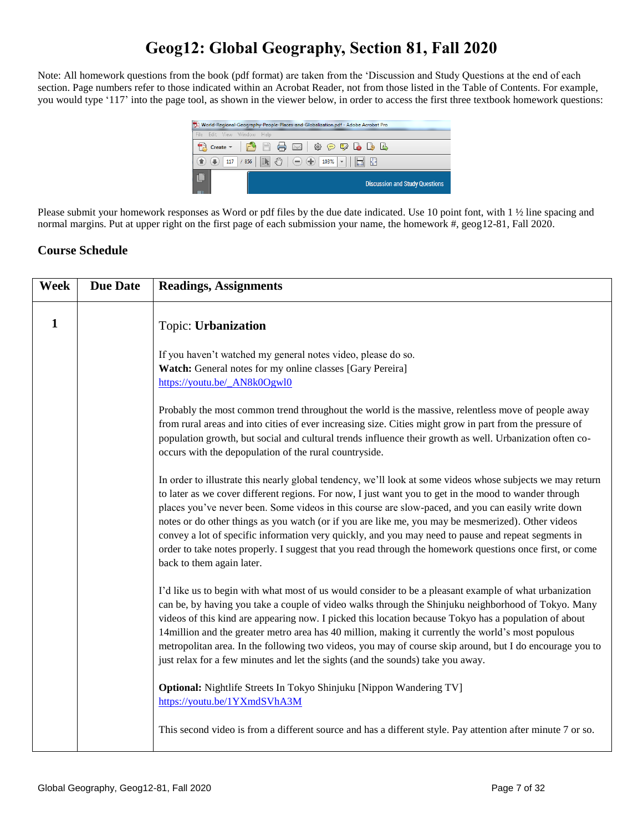# **Geog12: Global Geography, Section 81, Fall 2020**

Note: All homework questions from the book (pdf format) are taken from the 'Discussion and Study Questions at the end of each section. Page numbers refer to those indicated within an Acrobat Reader, not from those listed in the Table of Contents. For example, you would type '117' into the page tool, as shown in the viewer below, in order to access the first three textbook homework questions:



Please submit your homework responses as Word or pdf files by the due date indicated. Use 10 point font, with 1 ½ line spacing and normal margins. Put at upper right on the first page of each submission your name, the homework #, geog12-81, Fall 2020.

## **Course Schedule**

| Week | <b>Due Date</b> | <b>Readings, Assignments</b>                                                                                                                                                                                                                                                                                                                                                                                                                                                                                                                                                                                                                                                    |
|------|-----------------|---------------------------------------------------------------------------------------------------------------------------------------------------------------------------------------------------------------------------------------------------------------------------------------------------------------------------------------------------------------------------------------------------------------------------------------------------------------------------------------------------------------------------------------------------------------------------------------------------------------------------------------------------------------------------------|
| 1    |                 | Topic: Urbanization                                                                                                                                                                                                                                                                                                                                                                                                                                                                                                                                                                                                                                                             |
|      |                 | If you haven't watched my general notes video, please do so.<br>Watch: General notes for my online classes [Gary Pereira]<br>https://youtu.be/_AN8k0Ogwl0                                                                                                                                                                                                                                                                                                                                                                                                                                                                                                                       |
|      |                 | Probably the most common trend throughout the world is the massive, relentless move of people away<br>from rural areas and into cities of ever increasing size. Cities might grow in part from the pressure of<br>population growth, but social and cultural trends influence their growth as well. Urbanization often co-<br>occurs with the depopulation of the rural countryside.                                                                                                                                                                                                                                                                                            |
|      |                 | In order to illustrate this nearly global tendency, we'll look at some videos whose subjects we may return<br>to later as we cover different regions. For now, I just want you to get in the mood to wander through<br>places you've never been. Some videos in this course are slow-paced, and you can easily write down<br>notes or do other things as you watch (or if you are like me, you may be mesmerized). Other videos<br>convey a lot of specific information very quickly, and you may need to pause and repeat segments in<br>order to take notes properly. I suggest that you read through the homework questions once first, or come<br>back to them again later. |
|      |                 | I'd like us to begin with what most of us would consider to be a pleasant example of what urbanization<br>can be, by having you take a couple of video walks through the Shinjuku neighborhood of Tokyo. Many<br>videos of this kind are appearing now. I picked this location because Tokyo has a population of about<br>14 million and the greater metro area has 40 million, making it currently the world's most populous<br>metropolitan area. In the following two videos, you may of course skip around, but I do encourage you to<br>just relax for a few minutes and let the sights (and the sounds) take you away.                                                    |
|      |                 | Optional: Nightlife Streets In Tokyo Shinjuku [Nippon Wandering TV]<br>https://youtu.be/1YXmdSVhA3M                                                                                                                                                                                                                                                                                                                                                                                                                                                                                                                                                                             |
|      |                 | This second video is from a different source and has a different style. Pay attention after minute 7 or so.                                                                                                                                                                                                                                                                                                                                                                                                                                                                                                                                                                     |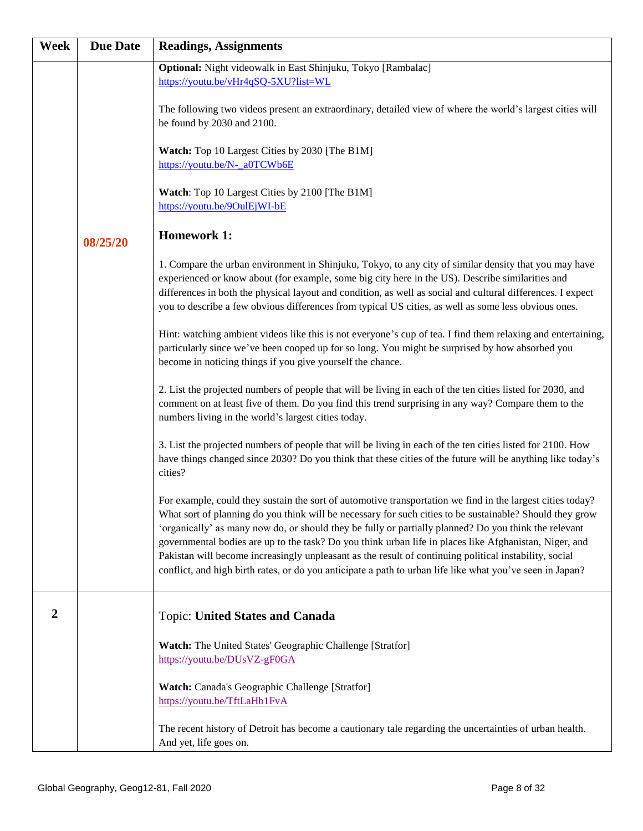| <b>Week</b>      | <b>Due Date</b> | <b>Readings, Assignments</b>                                                                                                                                                                                                                                                                                                                                                                                                                                                                                                                                                                                                                                     |
|------------------|-----------------|------------------------------------------------------------------------------------------------------------------------------------------------------------------------------------------------------------------------------------------------------------------------------------------------------------------------------------------------------------------------------------------------------------------------------------------------------------------------------------------------------------------------------------------------------------------------------------------------------------------------------------------------------------------|
|                  |                 | Optional: Night videowalk in East Shinjuku, Tokyo [Rambalac]<br>https://youtu.be/vHr4qSQ-5XU?list=WL                                                                                                                                                                                                                                                                                                                                                                                                                                                                                                                                                             |
|                  |                 | The following two videos present an extraordinary, detailed view of where the world's largest cities will<br>be found by 2030 and 2100.                                                                                                                                                                                                                                                                                                                                                                                                                                                                                                                          |
|                  |                 | <b>Watch:</b> Top 10 Largest Cities by 2030 [The B1M]<br>https://youtu.be/N- a0TCWb6E                                                                                                                                                                                                                                                                                                                                                                                                                                                                                                                                                                            |
|                  |                 | Watch: Top 10 Largest Cities by 2100 [The B1M]<br>https://youtu.be/9OulEjWI-bE                                                                                                                                                                                                                                                                                                                                                                                                                                                                                                                                                                                   |
|                  | 08/25/20        | <b>Homework 1:</b>                                                                                                                                                                                                                                                                                                                                                                                                                                                                                                                                                                                                                                               |
|                  |                 | 1. Compare the urban environment in Shinjuku, Tokyo, to any city of similar density that you may have<br>experienced or know about (for example, some big city here in the US). Describe similarities and<br>differences in both the physical layout and condition, as well as social and cultural differences. I expect<br>you to describe a few obvious differences from typical US cities, as well as some less obvious ones.                                                                                                                                                                                                                                 |
|                  |                 | Hint: watching ambient videos like this is not everyone's cup of tea. I find them relaxing and entertaining,<br>particularly since we've been cooped up for so long. You might be surprised by how absorbed you<br>become in noticing things if you give yourself the chance.                                                                                                                                                                                                                                                                                                                                                                                    |
|                  |                 | 2. List the projected numbers of people that will be living in each of the ten cities listed for 2030, and<br>comment on at least five of them. Do you find this trend surprising in any way? Compare them to the<br>numbers living in the world's largest cities today.                                                                                                                                                                                                                                                                                                                                                                                         |
|                  |                 | 3. List the projected numbers of people that will be living in each of the ten cities listed for 2100. How<br>have things changed since 2030? Do you think that these cities of the future will be anything like today's<br>cities?                                                                                                                                                                                                                                                                                                                                                                                                                              |
|                  |                 | For example, could they sustain the sort of automotive transportation we find in the largest cities today?<br>What sort of planning do you think will be necessary for such cities to be sustainable? Should they grow<br>'organically' as many now do, or should they be fully or partially planned? Do you think the relevant<br>governmental bodies are up to the task? Do you think urban life in places like Afghanistan, Niger, and<br>Pakistan will become increasingly unpleasant as the result of continuing political instability, social<br>conflict, and high birth rates, or do you anticipate a path to urban life like what you've seen in Japan? |
| $\boldsymbol{2}$ |                 | <b>Topic: United States and Canada</b>                                                                                                                                                                                                                                                                                                                                                                                                                                                                                                                                                                                                                           |
|                  |                 | Watch: The United States' Geographic Challenge [Stratfor]<br>https://youtu.be/DUsVZ-gF0GA                                                                                                                                                                                                                                                                                                                                                                                                                                                                                                                                                                        |
|                  |                 | Watch: Canada's Geographic Challenge [Stratfor]<br>https://youtu.be/TftLaHb1FvA                                                                                                                                                                                                                                                                                                                                                                                                                                                                                                                                                                                  |
|                  |                 | The recent history of Detroit has become a cautionary tale regarding the uncertainties of urban health.<br>And yet, life goes on.                                                                                                                                                                                                                                                                                                                                                                                                                                                                                                                                |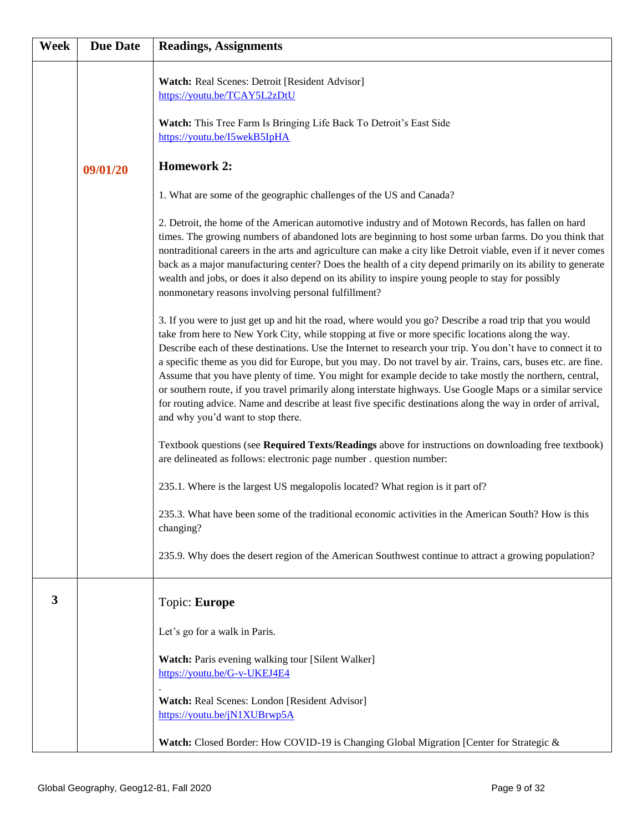| Week | <b>Due Date</b> | <b>Readings, Assignments</b>                                                                                                                                                                                                                                                                                                                                                                                                                                                                                                                                                                                                                                                                                                                                                                                                |
|------|-----------------|-----------------------------------------------------------------------------------------------------------------------------------------------------------------------------------------------------------------------------------------------------------------------------------------------------------------------------------------------------------------------------------------------------------------------------------------------------------------------------------------------------------------------------------------------------------------------------------------------------------------------------------------------------------------------------------------------------------------------------------------------------------------------------------------------------------------------------|
|      |                 | Watch: Real Scenes: Detroit [Resident Advisor]<br>https://youtu.be/TCAY5L2zDtU                                                                                                                                                                                                                                                                                                                                                                                                                                                                                                                                                                                                                                                                                                                                              |
|      |                 | Watch: This Tree Farm Is Bringing Life Back To Detroit's East Side<br>https://youtu.be/I5wekB5IpHA                                                                                                                                                                                                                                                                                                                                                                                                                                                                                                                                                                                                                                                                                                                          |
|      | 09/01/20        | <b>Homework 2:</b>                                                                                                                                                                                                                                                                                                                                                                                                                                                                                                                                                                                                                                                                                                                                                                                                          |
|      |                 | 1. What are some of the geographic challenges of the US and Canada?                                                                                                                                                                                                                                                                                                                                                                                                                                                                                                                                                                                                                                                                                                                                                         |
|      |                 | 2. Detroit, the home of the American automotive industry and of Motown Records, has fallen on hard<br>times. The growing numbers of abandoned lots are beginning to host some urban farms. Do you think that<br>nontraditional careers in the arts and agriculture can make a city like Detroit viable, even if it never comes<br>back as a major manufacturing center? Does the health of a city depend primarily on its ability to generate<br>wealth and jobs, or does it also depend on its ability to inspire young people to stay for possibly<br>nonmonetary reasons involving personal fulfillment?                                                                                                                                                                                                                 |
|      |                 | 3. If you were to just get up and hit the road, where would you go? Describe a road trip that you would<br>take from here to New York City, while stopping at five or more specific locations along the way.<br>Describe each of these destinations. Use the Internet to research your trip. You don't have to connect it to<br>a specific theme as you did for Europe, but you may. Do not travel by air. Trains, cars, buses etc. are fine.<br>Assume that you have plenty of time. You might for example decide to take mostly the northern, central,<br>or southern route, if you travel primarily along interstate highways. Use Google Maps or a similar service<br>for routing advice. Name and describe at least five specific destinations along the way in order of arrival,<br>and why you'd want to stop there. |
|      |                 | Textbook questions (see Required Texts/Readings above for instructions on downloading free textbook)<br>are delineated as follows: electronic page number . question number:                                                                                                                                                                                                                                                                                                                                                                                                                                                                                                                                                                                                                                                |
|      |                 | 235.1. Where is the largest US megalopolis located? What region is it part of?                                                                                                                                                                                                                                                                                                                                                                                                                                                                                                                                                                                                                                                                                                                                              |
|      |                 | 235.3. What have been some of the traditional economic activities in the American South? How is this<br>changing?                                                                                                                                                                                                                                                                                                                                                                                                                                                                                                                                                                                                                                                                                                           |
|      |                 | 235.9. Why does the desert region of the American Southwest continue to attract a growing population?                                                                                                                                                                                                                                                                                                                                                                                                                                                                                                                                                                                                                                                                                                                       |
| 3    |                 | Topic: Europe                                                                                                                                                                                                                                                                                                                                                                                                                                                                                                                                                                                                                                                                                                                                                                                                               |
|      |                 | Let's go for a walk in Paris.                                                                                                                                                                                                                                                                                                                                                                                                                                                                                                                                                                                                                                                                                                                                                                                               |
|      |                 | Watch: Paris evening walking tour [Silent Walker]<br>https://youtu.be/G-v-UKEJ4E4                                                                                                                                                                                                                                                                                                                                                                                                                                                                                                                                                                                                                                                                                                                                           |
|      |                 | Watch: Real Scenes: London [Resident Advisor]<br>https://youtu.be/jN1XUBrwp5A                                                                                                                                                                                                                                                                                                                                                                                                                                                                                                                                                                                                                                                                                                                                               |
|      |                 | Watch: Closed Border: How COVID-19 is Changing Global Migration [Center for Strategic &                                                                                                                                                                                                                                                                                                                                                                                                                                                                                                                                                                                                                                                                                                                                     |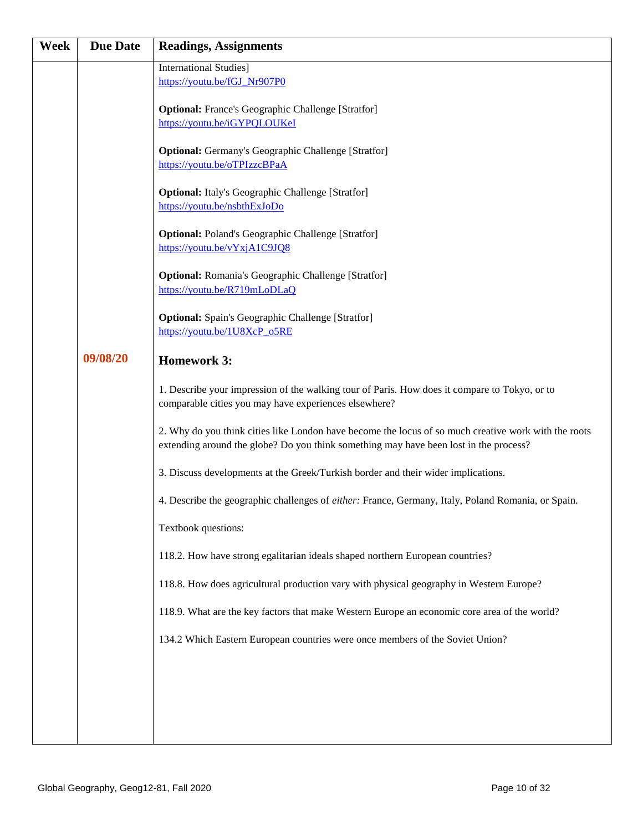| Week | <b>Due Date</b> | <b>Readings, Assignments</b>                                                                                                                                                                  |
|------|-----------------|-----------------------------------------------------------------------------------------------------------------------------------------------------------------------------------------------|
|      |                 | <b>International Studies</b> ]                                                                                                                                                                |
|      |                 | https://youtu.be/fGJ_Nr907P0                                                                                                                                                                  |
|      |                 | <b>Optional:</b> France's Geographic Challenge [Stratfor]                                                                                                                                     |
|      |                 | https://youtu.be/iGYPQLOUKeI                                                                                                                                                                  |
|      |                 | <b>Optional:</b> Germany's Geographic Challenge [Stratfor]                                                                                                                                    |
|      |                 | https://youtu.be/oTPIzzcBPaA                                                                                                                                                                  |
|      |                 | <b>Optional:</b> Italy's Geographic Challenge [Stratfor]                                                                                                                                      |
|      |                 | https://youtu.be/nsbthExJoDo                                                                                                                                                                  |
|      |                 | <b>Optional: Poland's Geographic Challenge [Stratfor]</b>                                                                                                                                     |
|      |                 | https://youtu.be/vYxjA1C9JQ8                                                                                                                                                                  |
|      |                 | <b>Optional:</b> Romania's Geographic Challenge [Stratfor]                                                                                                                                    |
|      |                 | https://youtu.be/R719mLoDLaQ                                                                                                                                                                  |
|      |                 | <b>Optional:</b> Spain's Geographic Challenge [Stratfor]                                                                                                                                      |
|      |                 | https://youtu.be/1U8XcP_o5RE                                                                                                                                                                  |
|      | 09/08/20        | <b>Homework 3:</b>                                                                                                                                                                            |
|      |                 | 1. Describe your impression of the walking tour of Paris. How does it compare to Tokyo, or to<br>comparable cities you may have experiences elsewhere?                                        |
|      |                 | 2. Why do you think cities like London have become the locus of so much creative work with the roots<br>extending around the globe? Do you think something may have been lost in the process? |
|      |                 | 3. Discuss developments at the Greek/Turkish border and their wider implications.                                                                                                             |
|      |                 | 4. Describe the geographic challenges of either: France, Germany, Italy, Poland Romania, or Spain.                                                                                            |
|      |                 | Textbook questions:                                                                                                                                                                           |
|      |                 | 118.2. How have strong egalitarian ideals shaped northern European countries?                                                                                                                 |
|      |                 | 118.8. How does agricultural production vary with physical geography in Western Europe?                                                                                                       |
|      |                 | 118.9. What are the key factors that make Western Europe an economic core area of the world?                                                                                                  |
|      |                 | 134.2 Which Eastern European countries were once members of the Soviet Union?                                                                                                                 |
|      |                 |                                                                                                                                                                                               |
|      |                 |                                                                                                                                                                                               |
|      |                 |                                                                                                                                                                                               |
|      |                 |                                                                                                                                                                                               |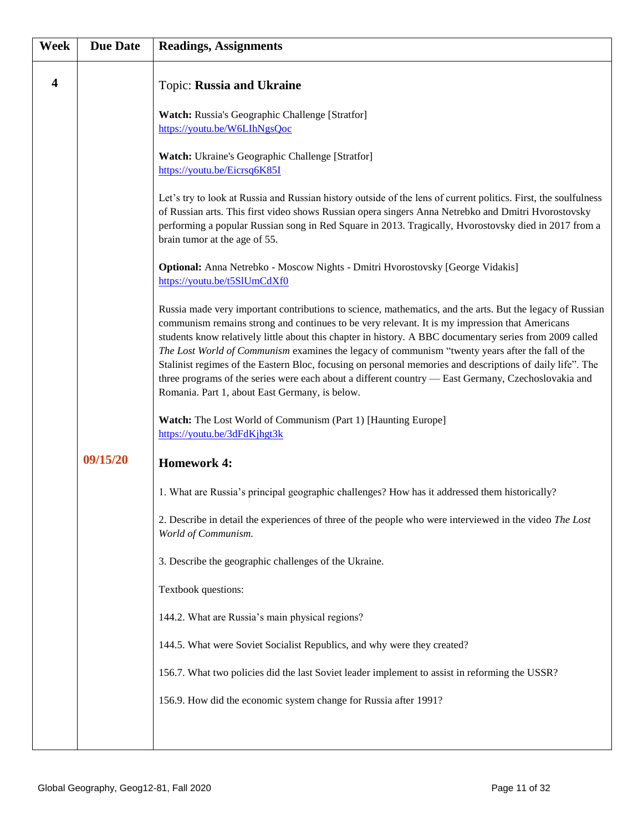| Week                    | <b>Due Date</b> | <b>Readings, Assignments</b>                                                                                                                                                                                                                                                                                                                                                                                                                                                                                                                                                                                                                                                                      |
|-------------------------|-----------------|---------------------------------------------------------------------------------------------------------------------------------------------------------------------------------------------------------------------------------------------------------------------------------------------------------------------------------------------------------------------------------------------------------------------------------------------------------------------------------------------------------------------------------------------------------------------------------------------------------------------------------------------------------------------------------------------------|
| $\overline{\mathbf{4}}$ |                 | Topic: Russia and Ukraine                                                                                                                                                                                                                                                                                                                                                                                                                                                                                                                                                                                                                                                                         |
|                         |                 | Watch: Russia's Geographic Challenge [Stratfor]<br>https://youtu.be/W6LIhNgsQoc                                                                                                                                                                                                                                                                                                                                                                                                                                                                                                                                                                                                                   |
|                         |                 | Watch: Ukraine's Geographic Challenge [Stratfor]<br>https://youtu.be/Eicrsq6K85I                                                                                                                                                                                                                                                                                                                                                                                                                                                                                                                                                                                                                  |
|                         |                 | Let's try to look at Russia and Russian history outside of the lens of current politics. First, the soulfulness<br>of Russian arts. This first video shows Russian opera singers Anna Netrebko and Dmitri Hvorostovsky<br>performing a popular Russian song in Red Square in 2013. Tragically, Hvorostovsky died in 2017 from a<br>brain tumor at the age of 55.                                                                                                                                                                                                                                                                                                                                  |
|                         |                 | Optional: Anna Netrebko - Moscow Nights - Dmitri Hvorostovsky [George Vidakis]<br>https://youtu.be/t5SlUmCdXf0                                                                                                                                                                                                                                                                                                                                                                                                                                                                                                                                                                                    |
|                         |                 | Russia made very important contributions to science, mathematics, and the arts. But the legacy of Russian<br>communism remains strong and continues to be very relevant. It is my impression that Americans<br>students know relatively little about this chapter in history. A BBC documentary series from 2009 called<br>The Lost World of Communism examines the legacy of communism "twenty years after the fall of the<br>Stalinist regimes of the Eastern Bloc, focusing on personal memories and descriptions of daily life". The<br>three programs of the series were each about a different country - East Germany, Czechoslovakia and<br>Romania. Part 1, about East Germany, is below. |
|                         |                 | Watch: The Lost World of Communism (Part 1) [Haunting Europe]<br>https://youtu.be/3dFdKjhgt3k                                                                                                                                                                                                                                                                                                                                                                                                                                                                                                                                                                                                     |
|                         | 09/15/20        | <b>Homework 4:</b>                                                                                                                                                                                                                                                                                                                                                                                                                                                                                                                                                                                                                                                                                |
|                         |                 | 1. What are Russia's principal geographic challenges? How has it addressed them historically?                                                                                                                                                                                                                                                                                                                                                                                                                                                                                                                                                                                                     |
|                         |                 | 2. Describe in detail the experiences of three of the people who were interviewed in the video The Lost<br>World of Communism.                                                                                                                                                                                                                                                                                                                                                                                                                                                                                                                                                                    |
|                         |                 | 3. Describe the geographic challenges of the Ukraine.                                                                                                                                                                                                                                                                                                                                                                                                                                                                                                                                                                                                                                             |
|                         |                 | Textbook questions:                                                                                                                                                                                                                                                                                                                                                                                                                                                                                                                                                                                                                                                                               |
|                         |                 | 144.2. What are Russia's main physical regions?                                                                                                                                                                                                                                                                                                                                                                                                                                                                                                                                                                                                                                                   |
|                         |                 | 144.5. What were Soviet Socialist Republics, and why were they created?                                                                                                                                                                                                                                                                                                                                                                                                                                                                                                                                                                                                                           |
|                         |                 | 156.7. What two policies did the last Soviet leader implement to assist in reforming the USSR?                                                                                                                                                                                                                                                                                                                                                                                                                                                                                                                                                                                                    |
|                         |                 | 156.9. How did the economic system change for Russia after 1991?                                                                                                                                                                                                                                                                                                                                                                                                                                                                                                                                                                                                                                  |
|                         |                 |                                                                                                                                                                                                                                                                                                                                                                                                                                                                                                                                                                                                                                                                                                   |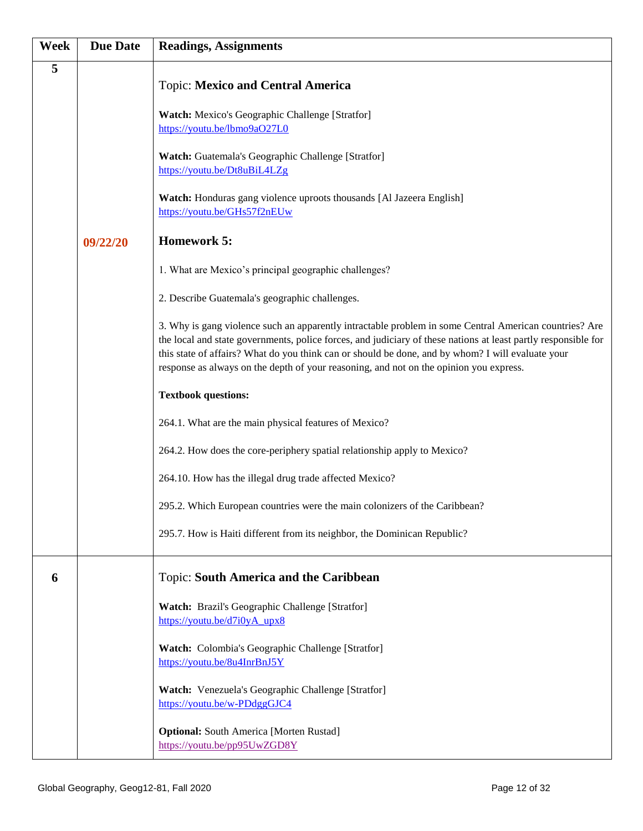| <b>Week</b> | <b>Due Date</b> | <b>Readings, Assignments</b>                                                                                                                                                                                                                                                                                                                                                                                            |
|-------------|-----------------|-------------------------------------------------------------------------------------------------------------------------------------------------------------------------------------------------------------------------------------------------------------------------------------------------------------------------------------------------------------------------------------------------------------------------|
| 5           |                 | <b>Topic: Mexico and Central America</b>                                                                                                                                                                                                                                                                                                                                                                                |
|             |                 | Watch: Mexico's Geographic Challenge [Stratfor]<br>https://youtu.be/lbmo9aO27L0                                                                                                                                                                                                                                                                                                                                         |
|             |                 | Watch: Guatemala's Geographic Challenge [Stratfor]<br>https://youtu.be/Dt8uBiL4LZg                                                                                                                                                                                                                                                                                                                                      |
|             |                 | Watch: Honduras gang violence uproots thousands [Al Jazeera English]<br>https://youtu.be/GHs57f2nEUw                                                                                                                                                                                                                                                                                                                    |
|             | 09/22/20        | <b>Homework 5:</b>                                                                                                                                                                                                                                                                                                                                                                                                      |
|             |                 | 1. What are Mexico's principal geographic challenges?                                                                                                                                                                                                                                                                                                                                                                   |
|             |                 | 2. Describe Guatemala's geographic challenges.                                                                                                                                                                                                                                                                                                                                                                          |
|             |                 | 3. Why is gang violence such an apparently intractable problem in some Central American countries? Are<br>the local and state governments, police forces, and judiciary of these nations at least partly responsible for<br>this state of affairs? What do you think can or should be done, and by whom? I will evaluate your<br>response as always on the depth of your reasoning, and not on the opinion you express. |
|             |                 | <b>Textbook questions:</b>                                                                                                                                                                                                                                                                                                                                                                                              |
|             |                 | 264.1. What are the main physical features of Mexico?                                                                                                                                                                                                                                                                                                                                                                   |
|             |                 | 264.2. How does the core-periphery spatial relationship apply to Mexico?                                                                                                                                                                                                                                                                                                                                                |
|             |                 | 264.10. How has the illegal drug trade affected Mexico?                                                                                                                                                                                                                                                                                                                                                                 |
|             |                 | 295.2. Which European countries were the main colonizers of the Caribbean?                                                                                                                                                                                                                                                                                                                                              |
|             |                 | 295.7. How is Haiti different from its neighbor, the Dominican Republic?                                                                                                                                                                                                                                                                                                                                                |
| 6           |                 | Topic: South America and the Caribbean                                                                                                                                                                                                                                                                                                                                                                                  |
|             |                 | <b>Watch:</b> Brazil's Geographic Challenge [Stratfor]<br>https://youtu.be/d7i0yA_upx8                                                                                                                                                                                                                                                                                                                                  |
|             |                 | Watch: Colombia's Geographic Challenge [Stratfor]<br>https://youtu.be/8u4InrBnJ5Y                                                                                                                                                                                                                                                                                                                                       |
|             |                 | Watch: Venezuela's Geographic Challenge [Stratfor]<br>https://youtu.be/w-PDdggGJC4                                                                                                                                                                                                                                                                                                                                      |
|             |                 | <b>Optional:</b> South America [Morten Rustad]<br>https://youtu.be/pp95UwZGD8Y                                                                                                                                                                                                                                                                                                                                          |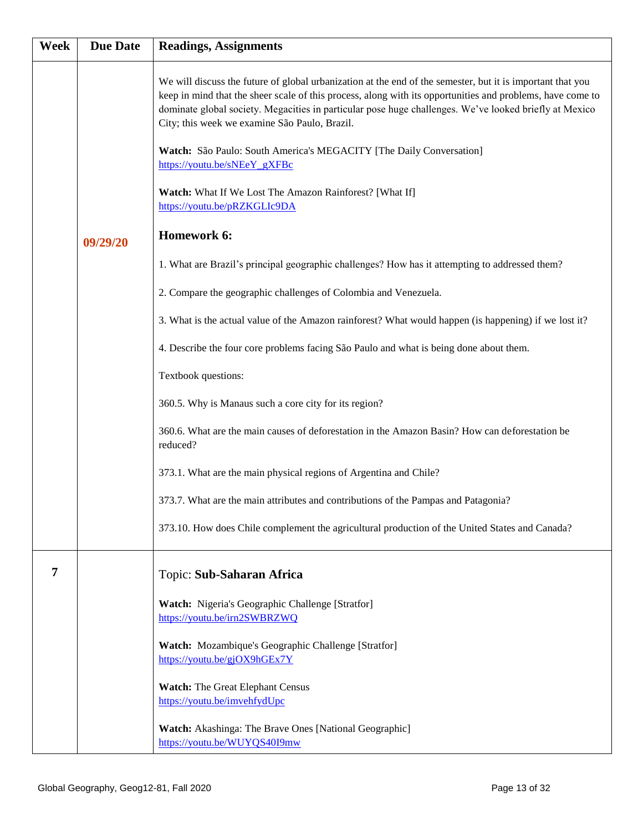| Week | <b>Due Date</b> | <b>Readings, Assignments</b>                                                                                                                                                                                                                                                                                                                                                                                                                                                               |
|------|-----------------|--------------------------------------------------------------------------------------------------------------------------------------------------------------------------------------------------------------------------------------------------------------------------------------------------------------------------------------------------------------------------------------------------------------------------------------------------------------------------------------------|
|      |                 | We will discuss the future of global urbanization at the end of the semester, but it is important that you<br>keep in mind that the sheer scale of this process, along with its opportunities and problems, have come to<br>dominate global society. Megacities in particular pose huge challenges. We've looked briefly at Mexico<br>City; this week we examine São Paulo, Brazil.<br>Watch: São Paulo: South America's MEGACITY [The Daily Conversation]<br>https://youtu.be/sNEeY gXFBc |
|      |                 | Watch: What If We Lost The Amazon Rainforest? [What If]<br>https://youtu.be/pRZKGLIc9DA                                                                                                                                                                                                                                                                                                                                                                                                    |
|      | 09/29/20        | Homework 6:                                                                                                                                                                                                                                                                                                                                                                                                                                                                                |
|      |                 | 1. What are Brazil's principal geographic challenges? How has it attempting to addressed them?                                                                                                                                                                                                                                                                                                                                                                                             |
|      |                 | 2. Compare the geographic challenges of Colombia and Venezuela.                                                                                                                                                                                                                                                                                                                                                                                                                            |
|      |                 | 3. What is the actual value of the Amazon rainforest? What would happen (is happening) if we lost it?                                                                                                                                                                                                                                                                                                                                                                                      |
|      |                 | 4. Describe the four core problems facing São Paulo and what is being done about them.                                                                                                                                                                                                                                                                                                                                                                                                     |
|      |                 | Textbook questions:                                                                                                                                                                                                                                                                                                                                                                                                                                                                        |
|      |                 | 360.5. Why is Manaus such a core city for its region?                                                                                                                                                                                                                                                                                                                                                                                                                                      |
|      |                 | 360.6. What are the main causes of deforestation in the Amazon Basin? How can deforestation be<br>reduced?                                                                                                                                                                                                                                                                                                                                                                                 |
|      |                 | 373.1. What are the main physical regions of Argentina and Chile?                                                                                                                                                                                                                                                                                                                                                                                                                          |
|      |                 | 373.7. What are the main attributes and contributions of the Pampas and Patagonia?                                                                                                                                                                                                                                                                                                                                                                                                         |
|      |                 | 373.10. How does Chile complement the agricultural production of the United States and Canada?                                                                                                                                                                                                                                                                                                                                                                                             |
| 7    |                 | Topic: Sub-Saharan Africa                                                                                                                                                                                                                                                                                                                                                                                                                                                                  |
|      |                 | Watch: Nigeria's Geographic Challenge [Stratfor]<br>https://youtu.be/irn2SWBRZWQ                                                                                                                                                                                                                                                                                                                                                                                                           |
|      |                 | Watch: Mozambique's Geographic Challenge [Stratfor]<br>https://youtu.be/gjOX9hGEx7Y                                                                                                                                                                                                                                                                                                                                                                                                        |
|      |                 | <b>Watch:</b> The Great Elephant Census<br>https://youtu.be/imvehfydUpc                                                                                                                                                                                                                                                                                                                                                                                                                    |
|      |                 | Watch: Akashinga: The Brave Ones [National Geographic]<br>https://youtu.be/WUYQS40I9mw                                                                                                                                                                                                                                                                                                                                                                                                     |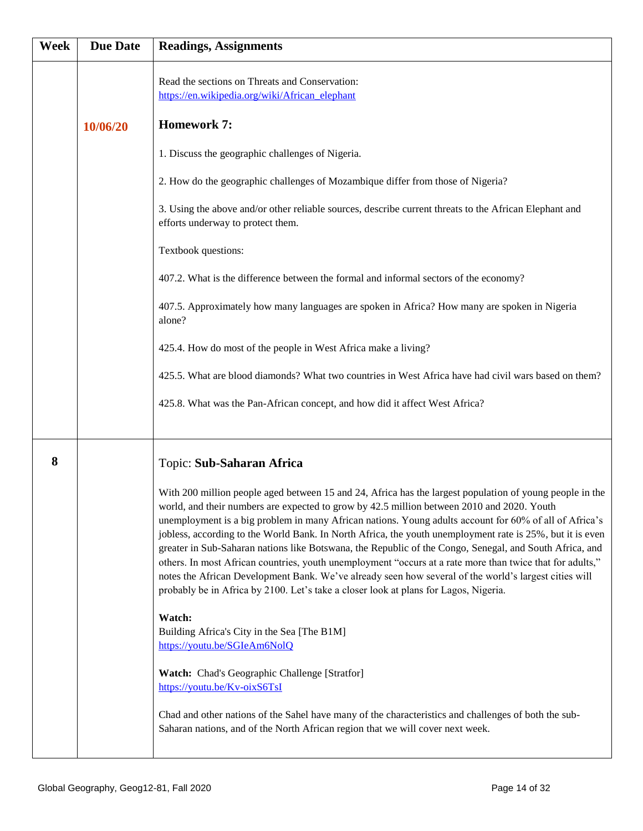| <b>Week</b> | <b>Due Date</b> | <b>Readings, Assignments</b>                                                                                                                                                                                                                                                                                                                                                                                                                                                                                                                                                                                                                                                                                                                                                                                                                           |
|-------------|-----------------|--------------------------------------------------------------------------------------------------------------------------------------------------------------------------------------------------------------------------------------------------------------------------------------------------------------------------------------------------------------------------------------------------------------------------------------------------------------------------------------------------------------------------------------------------------------------------------------------------------------------------------------------------------------------------------------------------------------------------------------------------------------------------------------------------------------------------------------------------------|
|             |                 | Read the sections on Threats and Conservation:<br>https://en.wikipedia.org/wiki/African_elephant                                                                                                                                                                                                                                                                                                                                                                                                                                                                                                                                                                                                                                                                                                                                                       |
|             | 10/06/20        | <b>Homework 7:</b>                                                                                                                                                                                                                                                                                                                                                                                                                                                                                                                                                                                                                                                                                                                                                                                                                                     |
|             |                 | 1. Discuss the geographic challenges of Nigeria.                                                                                                                                                                                                                                                                                                                                                                                                                                                                                                                                                                                                                                                                                                                                                                                                       |
|             |                 | 2. How do the geographic challenges of Mozambique differ from those of Nigeria?                                                                                                                                                                                                                                                                                                                                                                                                                                                                                                                                                                                                                                                                                                                                                                        |
|             |                 | 3. Using the above and/or other reliable sources, describe current threats to the African Elephant and<br>efforts underway to protect them.                                                                                                                                                                                                                                                                                                                                                                                                                                                                                                                                                                                                                                                                                                            |
|             |                 | Textbook questions:                                                                                                                                                                                                                                                                                                                                                                                                                                                                                                                                                                                                                                                                                                                                                                                                                                    |
|             |                 | 407.2. What is the difference between the formal and informal sectors of the economy?                                                                                                                                                                                                                                                                                                                                                                                                                                                                                                                                                                                                                                                                                                                                                                  |
|             |                 | 407.5. Approximately how many languages are spoken in Africa? How many are spoken in Nigeria<br>alone?                                                                                                                                                                                                                                                                                                                                                                                                                                                                                                                                                                                                                                                                                                                                                 |
|             |                 | 425.4. How do most of the people in West Africa make a living?                                                                                                                                                                                                                                                                                                                                                                                                                                                                                                                                                                                                                                                                                                                                                                                         |
|             |                 | 425.5. What are blood diamonds? What two countries in West Africa have had civil wars based on them?                                                                                                                                                                                                                                                                                                                                                                                                                                                                                                                                                                                                                                                                                                                                                   |
|             |                 | 425.8. What was the Pan-African concept, and how did it affect West Africa?                                                                                                                                                                                                                                                                                                                                                                                                                                                                                                                                                                                                                                                                                                                                                                            |
| 8           |                 | Topic: Sub-Saharan Africa                                                                                                                                                                                                                                                                                                                                                                                                                                                                                                                                                                                                                                                                                                                                                                                                                              |
|             |                 | With 200 million people aged between 15 and 24, Africa has the largest population of young people in the<br>world, and their numbers are expected to grow by 42.5 million between 2010 and 2020. Youth<br>unemployment is a big problem in many African nations. Young adults account for 60% of all of Africa's<br>jobless, according to the World Bank. In North Africa, the youth unemployment rate is 25%, but it is even<br>greater in Sub-Saharan nations like Botswana, the Republic of the Congo, Senegal, and South Africa, and<br>others. In most African countries, youth unemployment "occurs at a rate more than twice that for adults,"<br>notes the African Development Bank. We've already seen how several of the world's largest cities will<br>probably be in Africa by 2100. Let's take a closer look at plans for Lagos, Nigeria. |
|             |                 | Watch:<br>Building Africa's City in the Sea [The B1M]<br>https://youtu.be/SGIeAm6NolQ                                                                                                                                                                                                                                                                                                                                                                                                                                                                                                                                                                                                                                                                                                                                                                  |
|             |                 | Watch: Chad's Geographic Challenge [Stratfor]<br>https://youtu.be/Kv-oixS6TsI                                                                                                                                                                                                                                                                                                                                                                                                                                                                                                                                                                                                                                                                                                                                                                          |
|             |                 | Chad and other nations of the Sahel have many of the characteristics and challenges of both the sub-<br>Saharan nations, and of the North African region that we will cover next week.                                                                                                                                                                                                                                                                                                                                                                                                                                                                                                                                                                                                                                                                 |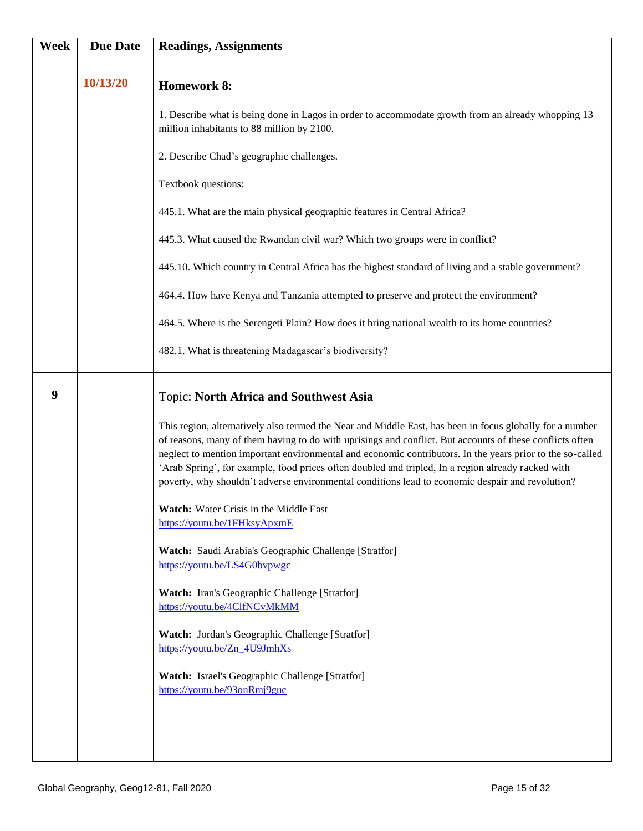| <b>Week</b> | <b>Due Date</b> | <b>Readings, Assignments</b>                                                                                                                                                                                                                                                                                                                                                                                                                                                                                                                |
|-------------|-----------------|---------------------------------------------------------------------------------------------------------------------------------------------------------------------------------------------------------------------------------------------------------------------------------------------------------------------------------------------------------------------------------------------------------------------------------------------------------------------------------------------------------------------------------------------|
|             | 10/13/20        | <b>Homework 8:</b>                                                                                                                                                                                                                                                                                                                                                                                                                                                                                                                          |
|             |                 | 1. Describe what is being done in Lagos in order to accommodate growth from an already whopping 13<br>million inhabitants to 88 million by 2100.                                                                                                                                                                                                                                                                                                                                                                                            |
|             |                 | 2. Describe Chad's geographic challenges.                                                                                                                                                                                                                                                                                                                                                                                                                                                                                                   |
|             |                 | Textbook questions:                                                                                                                                                                                                                                                                                                                                                                                                                                                                                                                         |
|             |                 | 445.1. What are the main physical geographic features in Central Africa?                                                                                                                                                                                                                                                                                                                                                                                                                                                                    |
|             |                 | 445.3. What caused the Rwandan civil war? Which two groups were in conflict?                                                                                                                                                                                                                                                                                                                                                                                                                                                                |
|             |                 | 445.10. Which country in Central Africa has the highest standard of living and a stable government?                                                                                                                                                                                                                                                                                                                                                                                                                                         |
|             |                 | 464.4. How have Kenya and Tanzania attempted to preserve and protect the environment?                                                                                                                                                                                                                                                                                                                                                                                                                                                       |
|             |                 | 464.5. Where is the Serengeti Plain? How does it bring national wealth to its home countries?                                                                                                                                                                                                                                                                                                                                                                                                                                               |
|             |                 | 482.1. What is threatening Madagascar's biodiversity?                                                                                                                                                                                                                                                                                                                                                                                                                                                                                       |
| 9           |                 | <b>Topic: North Africa and Southwest Asia</b>                                                                                                                                                                                                                                                                                                                                                                                                                                                                                               |
|             |                 | This region, alternatively also termed the Near and Middle East, has been in focus globally for a number<br>of reasons, many of them having to do with uprisings and conflict. But accounts of these conflicts often<br>neglect to mention important environmental and economic contributors. In the years prior to the so-called<br>'Arab Spring', for example, food prices often doubled and tripled, In a region already racked with<br>poverty, why shouldn't adverse environmental conditions lead to economic despair and revolution? |
|             |                 | Watch: Water Crisis in the Middle East<br>https://youtu.be/1FHksyApxmE                                                                                                                                                                                                                                                                                                                                                                                                                                                                      |
|             |                 | Watch: Saudi Arabia's Geographic Challenge [Stratfor]<br>https://youtu.be/LS4G0bvpwgc                                                                                                                                                                                                                                                                                                                                                                                                                                                       |
|             |                 | Watch: Iran's Geographic Challenge [Stratfor]<br>https://youtu.be/4ClfNCvMkMM                                                                                                                                                                                                                                                                                                                                                                                                                                                               |
|             |                 | Watch: Jordan's Geographic Challenge [Stratfor]<br>https://youtu.be/Zn_4U9JmhXs                                                                                                                                                                                                                                                                                                                                                                                                                                                             |
|             |                 | Watch: Israel's Geographic Challenge [Stratfor]<br>https://youtu.be/93onRmj9guc                                                                                                                                                                                                                                                                                                                                                                                                                                                             |
|             |                 |                                                                                                                                                                                                                                                                                                                                                                                                                                                                                                                                             |
|             |                 |                                                                                                                                                                                                                                                                                                                                                                                                                                                                                                                                             |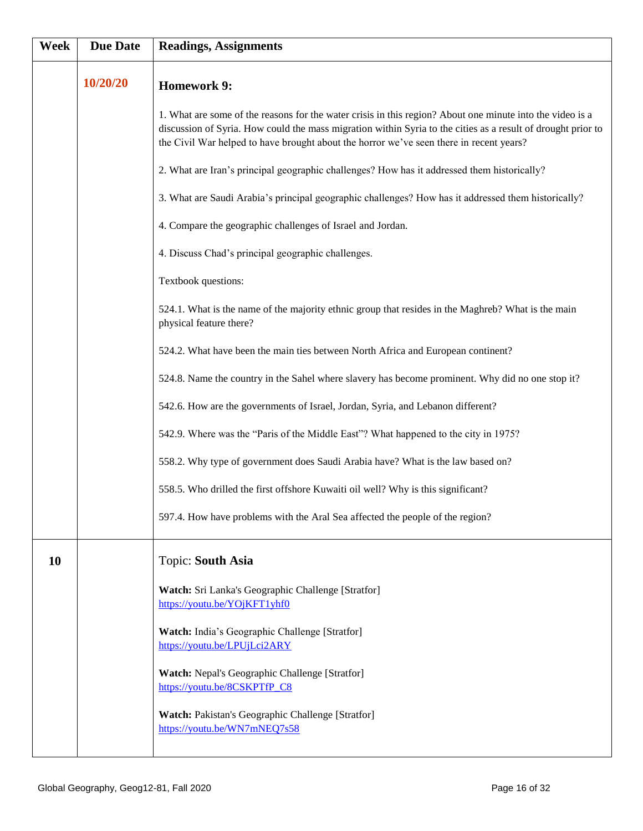| Week | <b>Due Date</b> | <b>Readings, Assignments</b>                                                                                                                                                                                                                                                                                         |
|------|-----------------|----------------------------------------------------------------------------------------------------------------------------------------------------------------------------------------------------------------------------------------------------------------------------------------------------------------------|
|      | 10/20/20        | <b>Homework 9:</b>                                                                                                                                                                                                                                                                                                   |
|      |                 | 1. What are some of the reasons for the water crisis in this region? About one minute into the video is a<br>discussion of Syria. How could the mass migration within Syria to the cities as a result of drought prior to<br>the Civil War helped to have brought about the horror we've seen there in recent years? |
|      |                 | 2. What are Iran's principal geographic challenges? How has it addressed them historically?                                                                                                                                                                                                                          |
|      |                 | 3. What are Saudi Arabia's principal geographic challenges? How has it addressed them historically?                                                                                                                                                                                                                  |
|      |                 | 4. Compare the geographic challenges of Israel and Jordan.                                                                                                                                                                                                                                                           |
|      |                 | 4. Discuss Chad's principal geographic challenges.                                                                                                                                                                                                                                                                   |
|      |                 | Textbook questions:                                                                                                                                                                                                                                                                                                  |
|      |                 | 524.1. What is the name of the majority ethnic group that resides in the Maghreb? What is the main<br>physical feature there?                                                                                                                                                                                        |
|      |                 | 524.2. What have been the main ties between North Africa and European continent?                                                                                                                                                                                                                                     |
|      |                 | 524.8. Name the country in the Sahel where slavery has become prominent. Why did no one stop it?                                                                                                                                                                                                                     |
|      |                 | 542.6. How are the governments of Israel, Jordan, Syria, and Lebanon different?                                                                                                                                                                                                                                      |
|      |                 | 542.9. Where was the "Paris of the Middle East"? What happened to the city in 1975?                                                                                                                                                                                                                                  |
|      |                 | 558.2. Why type of government does Saudi Arabia have? What is the law based on?                                                                                                                                                                                                                                      |
|      |                 | 558.5. Who drilled the first offshore Kuwaiti oil well? Why is this significant?                                                                                                                                                                                                                                     |
|      |                 | 597.4. How have problems with the Aral Sea affected the people of the region?                                                                                                                                                                                                                                        |
| 10   |                 | Topic: South Asia                                                                                                                                                                                                                                                                                                    |
|      |                 | Watch: Sri Lanka's Geographic Challenge [Stratfor]<br>https://youtu.be/YOjKFT1yhf0                                                                                                                                                                                                                                   |
|      |                 | Watch: India's Geographic Challenge [Stratfor]<br>https://youtu.be/LPUjLci2ARY                                                                                                                                                                                                                                       |
|      |                 | Watch: Nepal's Geographic Challenge [Stratfor]<br>https://youtu.be/8CSKPTfP C8                                                                                                                                                                                                                                       |
|      |                 | Watch: Pakistan's Geographic Challenge [Stratfor]<br>https://youtu.be/WN7mNEQ7s58                                                                                                                                                                                                                                    |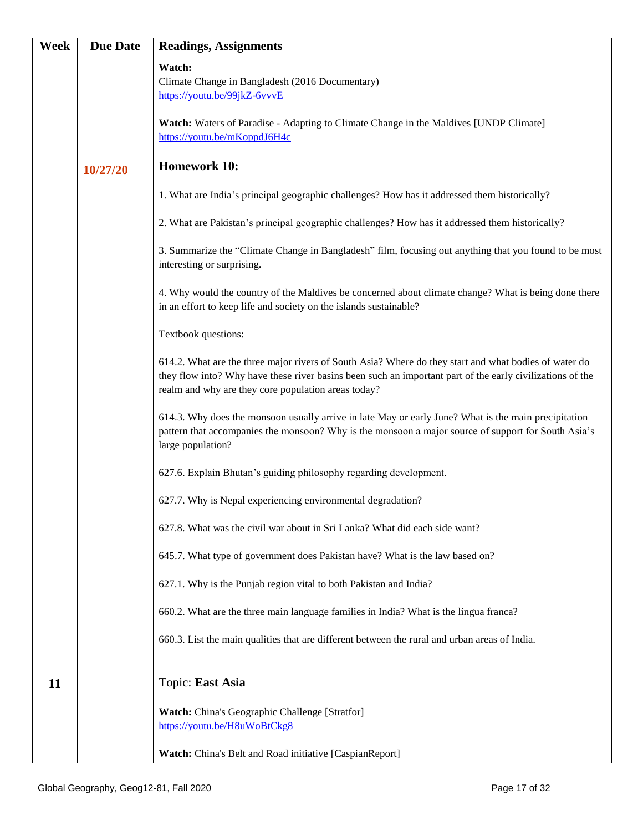| Week | <b>Due Date</b> | <b>Readings, Assignments</b>                                                                                                                                                                                                                                              |
|------|-----------------|---------------------------------------------------------------------------------------------------------------------------------------------------------------------------------------------------------------------------------------------------------------------------|
|      |                 | Watch:<br>Climate Change in Bangladesh (2016 Documentary)<br>https://youtu.be/99jkZ-6vvvE                                                                                                                                                                                 |
|      |                 | Watch: Waters of Paradise - Adapting to Climate Change in the Maldives [UNDP Climate]<br>https://youtu.be/mKoppdJ6H4c                                                                                                                                                     |
|      | 10/27/20        | <b>Homework 10:</b>                                                                                                                                                                                                                                                       |
|      |                 | 1. What are India's principal geographic challenges? How has it addressed them historically?                                                                                                                                                                              |
|      |                 | 2. What are Pakistan's principal geographic challenges? How has it addressed them historically?                                                                                                                                                                           |
|      |                 | 3. Summarize the "Climate Change in Bangladesh" film, focusing out anything that you found to be most<br>interesting or surprising.                                                                                                                                       |
|      |                 | 4. Why would the country of the Maldives be concerned about climate change? What is being done there<br>in an effort to keep life and society on the islands sustainable?                                                                                                 |
|      |                 | Textbook questions:                                                                                                                                                                                                                                                       |
|      |                 | 614.2. What are the three major rivers of South Asia? Where do they start and what bodies of water do<br>they flow into? Why have these river basins been such an important part of the early civilizations of the<br>realm and why are they core population areas today? |
|      |                 | 614.3. Why does the monsoon usually arrive in late May or early June? What is the main precipitation<br>pattern that accompanies the monsoon? Why is the monsoon a major source of support for South Asia's<br>large population?                                          |
|      |                 | 627.6. Explain Bhutan's guiding philosophy regarding development.                                                                                                                                                                                                         |
|      |                 | 627.7. Why is Nepal experiencing environmental degradation?                                                                                                                                                                                                               |
|      |                 | 627.8. What was the civil war about in Sri Lanka? What did each side want?                                                                                                                                                                                                |
|      |                 | 645.7. What type of government does Pakistan have? What is the law based on?                                                                                                                                                                                              |
|      |                 | 627.1. Why is the Punjab region vital to both Pakistan and India?                                                                                                                                                                                                         |
|      |                 | 660.2. What are the three main language families in India? What is the lingua franca?                                                                                                                                                                                     |
|      |                 | 660.3. List the main qualities that are different between the rural and urban areas of India.                                                                                                                                                                             |
| 11   |                 | Topic: East Asia                                                                                                                                                                                                                                                          |
|      |                 | Watch: China's Geographic Challenge [Stratfor]<br>https://youtu.be/H8uWoBtCkg8                                                                                                                                                                                            |
|      |                 | Watch: China's Belt and Road initiative [CaspianReport]                                                                                                                                                                                                                   |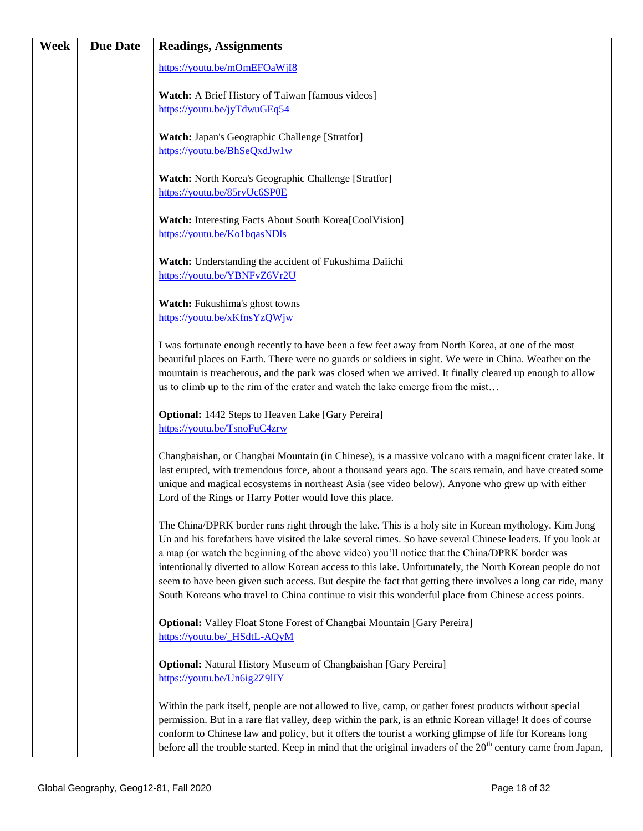| Week | <b>Due Date</b> | <b>Readings, Assignments</b>                                                                                                                                                                                                                                                                                                                                                                                                                                                                                                                                                                                                                              |
|------|-----------------|-----------------------------------------------------------------------------------------------------------------------------------------------------------------------------------------------------------------------------------------------------------------------------------------------------------------------------------------------------------------------------------------------------------------------------------------------------------------------------------------------------------------------------------------------------------------------------------------------------------------------------------------------------------|
|      |                 | https://youtu.be/mOmEFOaWjI8                                                                                                                                                                                                                                                                                                                                                                                                                                                                                                                                                                                                                              |
|      |                 | <b>Watch:</b> A Brief History of Taiwan [famous videos]                                                                                                                                                                                                                                                                                                                                                                                                                                                                                                                                                                                                   |
|      |                 | https://youtu.be/jyTdwuGEq54                                                                                                                                                                                                                                                                                                                                                                                                                                                                                                                                                                                                                              |
|      |                 | Watch: Japan's Geographic Challenge [Stratfor]                                                                                                                                                                                                                                                                                                                                                                                                                                                                                                                                                                                                            |
|      |                 | https://youtu.be/BhSeQxdJw1w                                                                                                                                                                                                                                                                                                                                                                                                                                                                                                                                                                                                                              |
|      |                 | Watch: North Korea's Geographic Challenge [Stratfor]<br>https://youtu.be/85rvUc6SP0E                                                                                                                                                                                                                                                                                                                                                                                                                                                                                                                                                                      |
|      |                 | Watch: Interesting Facts About South Korea[CoolVision]<br>https://youtu.be/Ko1bqasNDls                                                                                                                                                                                                                                                                                                                                                                                                                                                                                                                                                                    |
|      |                 | Watch: Understanding the accident of Fukushima Daiichi<br>https://youtu.be/YBNFvZ6Vr2U                                                                                                                                                                                                                                                                                                                                                                                                                                                                                                                                                                    |
|      |                 | Watch: Fukushima's ghost towns                                                                                                                                                                                                                                                                                                                                                                                                                                                                                                                                                                                                                            |
|      |                 | https://youtu.be/xKfnsYzQWjw                                                                                                                                                                                                                                                                                                                                                                                                                                                                                                                                                                                                                              |
|      |                 | I was fortunate enough recently to have been a few feet away from North Korea, at one of the most<br>beautiful places on Earth. There were no guards or soldiers in sight. We were in China. Weather on the<br>mountain is treacherous, and the park was closed when we arrived. It finally cleared up enough to allow<br>us to climb up to the rim of the crater and watch the lake emerge from the mist                                                                                                                                                                                                                                                 |
|      |                 | <b>Optional:</b> 1442 Steps to Heaven Lake [Gary Pereira]<br>https://youtu.be/TsnoFuC4zrw                                                                                                                                                                                                                                                                                                                                                                                                                                                                                                                                                                 |
|      |                 | Changbaishan, or Changbai Mountain (in Chinese), is a massive volcano with a magnificent crater lake. It<br>last erupted, with tremendous force, about a thousand years ago. The scars remain, and have created some<br>unique and magical ecosystems in northeast Asia (see video below). Anyone who grew up with either<br>Lord of the Rings or Harry Potter would love this place.                                                                                                                                                                                                                                                                     |
|      |                 | The China/DPRK border runs right through the lake. This is a holy site in Korean mythology. Kim Jong<br>Un and his forefathers have visited the lake several times. So have several Chinese leaders. If you look at<br>a map (or watch the beginning of the above video) you'll notice that the China/DPRK border was<br>intentionally diverted to allow Korean access to this lake. Unfortunately, the North Korean people do not<br>seem to have been given such access. But despite the fact that getting there involves a long car ride, many<br>South Koreans who travel to China continue to visit this wonderful place from Chinese access points. |
|      |                 | Optional: Valley Float Stone Forest of Changbai Mountain [Gary Pereira]<br>https://youtu.be/ HSdtL-AQyM                                                                                                                                                                                                                                                                                                                                                                                                                                                                                                                                                   |
|      |                 | <b>Optional:</b> Natural History Museum of Changbaishan [Gary Pereira]<br>https://youtu.be/Un6ig2Z9IIY                                                                                                                                                                                                                                                                                                                                                                                                                                                                                                                                                    |
|      |                 | Within the park itself, people are not allowed to live, camp, or gather forest products without special<br>permission. But in a rare flat valley, deep within the park, is an ethnic Korean village! It does of course<br>conform to Chinese law and policy, but it offers the tourist a working glimpse of life for Koreans long<br>before all the trouble started. Keep in mind that the original invaders of the $20th$ century came from Japan,                                                                                                                                                                                                       |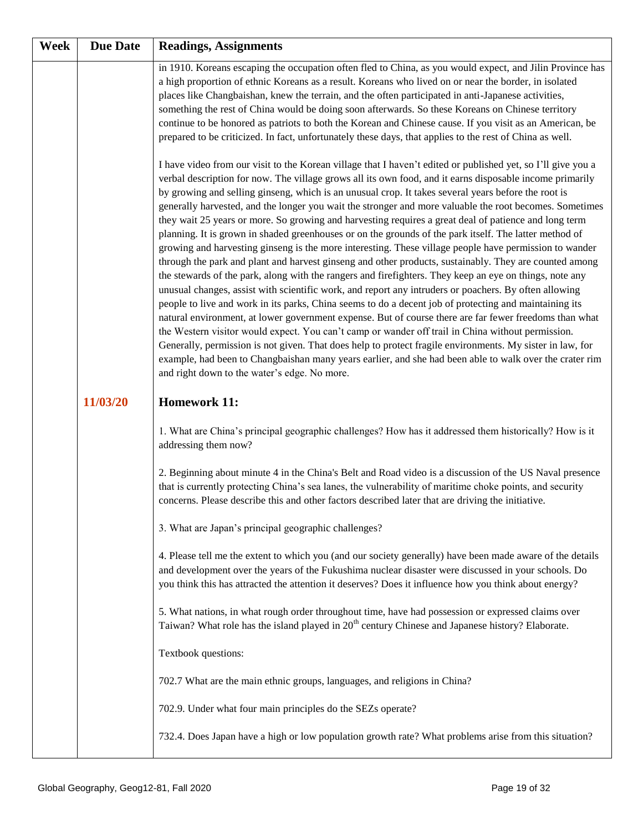| Week | <b>Due Date</b> | <b>Readings, Assignments</b>                                                                                                                                                                                                                                                                                                                                                                                                                                                                                                                                                                                                                                                                                                                                                                                                                                                                                                                                                                                                                                                                                                                                                                                                                                                                                                                                                                                                                                                                                                                                                                                                                                                                           |
|------|-----------------|--------------------------------------------------------------------------------------------------------------------------------------------------------------------------------------------------------------------------------------------------------------------------------------------------------------------------------------------------------------------------------------------------------------------------------------------------------------------------------------------------------------------------------------------------------------------------------------------------------------------------------------------------------------------------------------------------------------------------------------------------------------------------------------------------------------------------------------------------------------------------------------------------------------------------------------------------------------------------------------------------------------------------------------------------------------------------------------------------------------------------------------------------------------------------------------------------------------------------------------------------------------------------------------------------------------------------------------------------------------------------------------------------------------------------------------------------------------------------------------------------------------------------------------------------------------------------------------------------------------------------------------------------------------------------------------------------------|
|      |                 | in 1910. Koreans escaping the occupation often fled to China, as you would expect, and Jilin Province has<br>a high proportion of ethnic Koreans as a result. Koreans who lived on or near the border, in isolated<br>places like Changbaishan, knew the terrain, and the often participated in anti-Japanese activities,<br>something the rest of China would be doing soon afterwards. So these Koreans on Chinese territory<br>continue to be honored as patriots to both the Korean and Chinese cause. If you visit as an American, be<br>prepared to be criticized. In fact, unfortunately these days, that applies to the rest of China as well.                                                                                                                                                                                                                                                                                                                                                                                                                                                                                                                                                                                                                                                                                                                                                                                                                                                                                                                                                                                                                                                 |
|      |                 | I have video from our visit to the Korean village that I haven't edited or published yet, so I'll give you a<br>verbal description for now. The village grows all its own food, and it earns disposable income primarily<br>by growing and selling ginseng, which is an unusual crop. It takes several years before the root is<br>generally harvested, and the longer you wait the stronger and more valuable the root becomes. Sometimes<br>they wait 25 years or more. So growing and harvesting requires a great deal of patience and long term<br>planning. It is grown in shaded greenhouses or on the grounds of the park itself. The latter method of<br>growing and harvesting ginseng is the more interesting. These village people have permission to wander<br>through the park and plant and harvest ginseng and other products, sustainably. They are counted among<br>the stewards of the park, along with the rangers and firefighters. They keep an eye on things, note any<br>unusual changes, assist with scientific work, and report any intruders or poachers. By often allowing<br>people to live and work in its parks, China seems to do a decent job of protecting and maintaining its<br>natural environment, at lower government expense. But of course there are far fewer freedoms than what<br>the Western visitor would expect. You can't camp or wander off trail in China without permission.<br>Generally, permission is not given. That does help to protect fragile environments. My sister in law, for<br>example, had been to Changbaishan many years earlier, and she had been able to walk over the crater rim<br>and right down to the water's edge. No more. |
|      | 11/03/20        | <b>Homework 11:</b>                                                                                                                                                                                                                                                                                                                                                                                                                                                                                                                                                                                                                                                                                                                                                                                                                                                                                                                                                                                                                                                                                                                                                                                                                                                                                                                                                                                                                                                                                                                                                                                                                                                                                    |
|      |                 | 1. What are China's principal geographic challenges? How has it addressed them historically? How is it<br>addressing them now?                                                                                                                                                                                                                                                                                                                                                                                                                                                                                                                                                                                                                                                                                                                                                                                                                                                                                                                                                                                                                                                                                                                                                                                                                                                                                                                                                                                                                                                                                                                                                                         |
|      |                 | 2. Beginning about minute 4 in the China's Belt and Road video is a discussion of the US Naval presence<br>that is currently protecting China's sea lanes, the vulnerability of maritime choke points, and security<br>concerns. Please describe this and other factors described later that are driving the initiative.                                                                                                                                                                                                                                                                                                                                                                                                                                                                                                                                                                                                                                                                                                                                                                                                                                                                                                                                                                                                                                                                                                                                                                                                                                                                                                                                                                               |
|      |                 | 3. What are Japan's principal geographic challenges?                                                                                                                                                                                                                                                                                                                                                                                                                                                                                                                                                                                                                                                                                                                                                                                                                                                                                                                                                                                                                                                                                                                                                                                                                                                                                                                                                                                                                                                                                                                                                                                                                                                   |
|      |                 | 4. Please tell me the extent to which you (and our society generally) have been made aware of the details<br>and development over the years of the Fukushima nuclear disaster were discussed in your schools. Do<br>you think this has attracted the attention it deserves? Does it influence how you think about energy?                                                                                                                                                                                                                                                                                                                                                                                                                                                                                                                                                                                                                                                                                                                                                                                                                                                                                                                                                                                                                                                                                                                                                                                                                                                                                                                                                                              |
|      |                 | 5. What nations, in what rough order throughout time, have had possession or expressed claims over<br>Taiwan? What role has the island played in 20 <sup>th</sup> century Chinese and Japanese history? Elaborate.                                                                                                                                                                                                                                                                                                                                                                                                                                                                                                                                                                                                                                                                                                                                                                                                                                                                                                                                                                                                                                                                                                                                                                                                                                                                                                                                                                                                                                                                                     |
|      |                 | Textbook questions:                                                                                                                                                                                                                                                                                                                                                                                                                                                                                                                                                                                                                                                                                                                                                                                                                                                                                                                                                                                                                                                                                                                                                                                                                                                                                                                                                                                                                                                                                                                                                                                                                                                                                    |
|      |                 | 702.7 What are the main ethnic groups, languages, and religions in China?                                                                                                                                                                                                                                                                                                                                                                                                                                                                                                                                                                                                                                                                                                                                                                                                                                                                                                                                                                                                                                                                                                                                                                                                                                                                                                                                                                                                                                                                                                                                                                                                                              |
|      |                 | 702.9. Under what four main principles do the SEZs operate?                                                                                                                                                                                                                                                                                                                                                                                                                                                                                                                                                                                                                                                                                                                                                                                                                                                                                                                                                                                                                                                                                                                                                                                                                                                                                                                                                                                                                                                                                                                                                                                                                                            |
|      |                 | 732.4. Does Japan have a high or low population growth rate? What problems arise from this situation?                                                                                                                                                                                                                                                                                                                                                                                                                                                                                                                                                                                                                                                                                                                                                                                                                                                                                                                                                                                                                                                                                                                                                                                                                                                                                                                                                                                                                                                                                                                                                                                                  |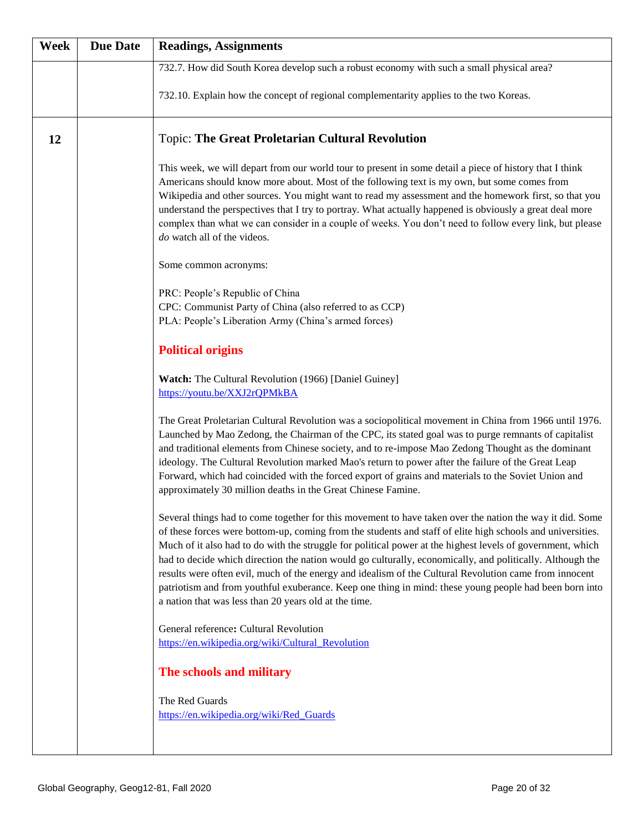| Week | <b>Due Date</b> | <b>Readings, Assignments</b>                                                                                                                                                                                                                                                                                                                                                                                                                                                                                                                                                                                                                                                                                                   |
|------|-----------------|--------------------------------------------------------------------------------------------------------------------------------------------------------------------------------------------------------------------------------------------------------------------------------------------------------------------------------------------------------------------------------------------------------------------------------------------------------------------------------------------------------------------------------------------------------------------------------------------------------------------------------------------------------------------------------------------------------------------------------|
|      |                 | 732.7. How did South Korea develop such a robust economy with such a small physical area?                                                                                                                                                                                                                                                                                                                                                                                                                                                                                                                                                                                                                                      |
|      |                 | 732.10. Explain how the concept of regional complementarity applies to the two Koreas.                                                                                                                                                                                                                                                                                                                                                                                                                                                                                                                                                                                                                                         |
| 12   |                 | <b>Topic: The Great Proletarian Cultural Revolution</b>                                                                                                                                                                                                                                                                                                                                                                                                                                                                                                                                                                                                                                                                        |
|      |                 | This week, we will depart from our world tour to present in some detail a piece of history that I think<br>Americans should know more about. Most of the following text is my own, but some comes from<br>Wikipedia and other sources. You might want to read my assessment and the homework first, so that you<br>understand the perspectives that I try to portray. What actually happened is obviously a great deal more<br>complex than what we can consider in a couple of weeks. You don't need to follow every link, but please<br>do watch all of the videos.                                                                                                                                                          |
|      |                 | Some common acronyms:                                                                                                                                                                                                                                                                                                                                                                                                                                                                                                                                                                                                                                                                                                          |
|      |                 | PRC: People's Republic of China<br>CPC: Communist Party of China (also referred to as CCP)<br>PLA: People's Liberation Army (China's armed forces)                                                                                                                                                                                                                                                                                                                                                                                                                                                                                                                                                                             |
|      |                 | <b>Political origins</b>                                                                                                                                                                                                                                                                                                                                                                                                                                                                                                                                                                                                                                                                                                       |
|      |                 | <b>Watch:</b> The Cultural Revolution (1966) [Daniel Guiney]<br>https://youtu.be/XXJ2rQPMkBA                                                                                                                                                                                                                                                                                                                                                                                                                                                                                                                                                                                                                                   |
|      |                 | The Great Proletarian Cultural Revolution was a sociopolitical movement in China from 1966 until 1976.<br>Launched by Mao Zedong, the Chairman of the CPC, its stated goal was to purge remnants of capitalist<br>and traditional elements from Chinese society, and to re-impose Mao Zedong Thought as the dominant<br>ideology. The Cultural Revolution marked Mao's return to power after the failure of the Great Leap<br>Forward, which had coincided with the forced export of grains and materials to the Soviet Union and<br>approximately 30 million deaths in the Great Chinese Famine.                                                                                                                              |
|      |                 | Several things had to come together for this movement to have taken over the nation the way it did. Some<br>of these forces were bottom-up, coming from the students and staff of elite high schools and universities.<br>Much of it also had to do with the struggle for political power at the highest levels of government, which<br>had to decide which direction the nation would go culturally, economically, and politically. Although the<br>results were often evil, much of the energy and idealism of the Cultural Revolution came from innocent<br>patriotism and from youthful exuberance. Keep one thing in mind: these young people had been born into<br>a nation that was less than 20 years old at the time. |
|      |                 | General reference: Cultural Revolution<br>https://en.wikipedia.org/wiki/Cultural_Revolution                                                                                                                                                                                                                                                                                                                                                                                                                                                                                                                                                                                                                                    |
|      |                 | The schools and military                                                                                                                                                                                                                                                                                                                                                                                                                                                                                                                                                                                                                                                                                                       |
|      |                 |                                                                                                                                                                                                                                                                                                                                                                                                                                                                                                                                                                                                                                                                                                                                |
|      |                 | The Red Guards<br>https://en.wikipedia.org/wiki/Red Guards                                                                                                                                                                                                                                                                                                                                                                                                                                                                                                                                                                                                                                                                     |
|      |                 |                                                                                                                                                                                                                                                                                                                                                                                                                                                                                                                                                                                                                                                                                                                                |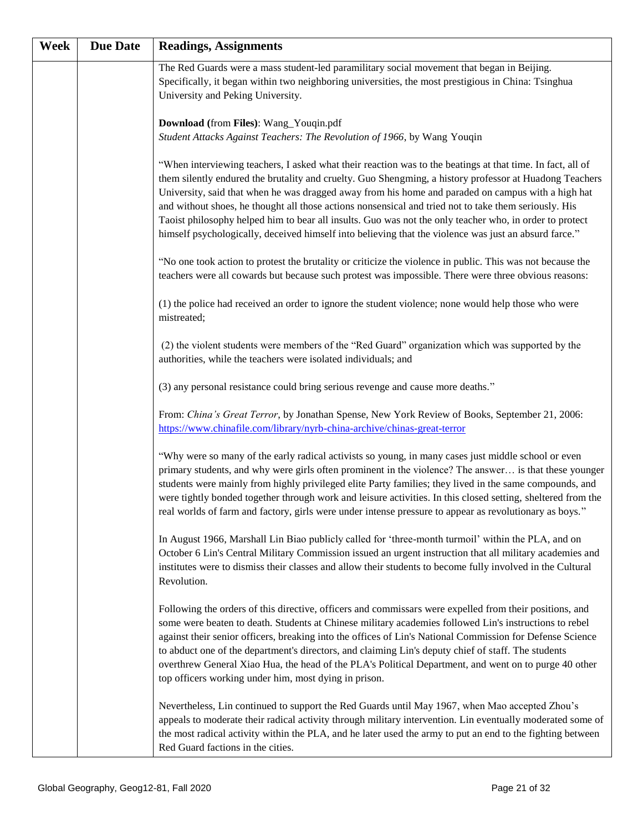| Week | <b>Due Date</b> | <b>Readings, Assignments</b>                                                                                                                                                                                                                                                                                                                                                                                                                                                                                                                                                                                                                             |
|------|-----------------|----------------------------------------------------------------------------------------------------------------------------------------------------------------------------------------------------------------------------------------------------------------------------------------------------------------------------------------------------------------------------------------------------------------------------------------------------------------------------------------------------------------------------------------------------------------------------------------------------------------------------------------------------------|
|      |                 | The Red Guards were a mass student-led paramilitary social movement that began in Beijing.<br>Specifically, it began within two neighboring universities, the most prestigious in China: Tsinghua<br>University and Peking University.                                                                                                                                                                                                                                                                                                                                                                                                                   |
|      |                 | Download (from Files): Wang_Youqin.pdf<br>Student Attacks Against Teachers: The Revolution of 1966, by Wang Youqin                                                                                                                                                                                                                                                                                                                                                                                                                                                                                                                                       |
|      |                 | "When interviewing teachers, I asked what their reaction was to the beatings at that time. In fact, all of<br>them silently endured the brutality and cruelty. Guo Shengming, a history professor at Huadong Teachers<br>University, said that when he was dragged away from his home and paraded on campus with a high hat<br>and without shoes, he thought all those actions nonsensical and tried not to take them seriously. His<br>Taoist philosophy helped him to bear all insults. Guo was not the only teacher who, in order to protect<br>himself psychologically, deceived himself into believing that the violence was just an absurd farce." |
|      |                 | "No one took action to protest the brutality or criticize the violence in public. This was not because the<br>teachers were all cowards but because such protest was impossible. There were three obvious reasons:                                                                                                                                                                                                                                                                                                                                                                                                                                       |
|      |                 | (1) the police had received an order to ignore the student violence; none would help those who were<br>mistreated;                                                                                                                                                                                                                                                                                                                                                                                                                                                                                                                                       |
|      |                 | (2) the violent students were members of the "Red Guard" organization which was supported by the<br>authorities, while the teachers were isolated individuals; and                                                                                                                                                                                                                                                                                                                                                                                                                                                                                       |
|      |                 | (3) any personal resistance could bring serious revenge and cause more deaths."                                                                                                                                                                                                                                                                                                                                                                                                                                                                                                                                                                          |
|      |                 | From: China's Great Terror, by Jonathan Spense, New York Review of Books, September 21, 2006:<br>https://www.chinafile.com/library/nyrb-china-archive/chinas-great-terror                                                                                                                                                                                                                                                                                                                                                                                                                                                                                |
|      |                 | "Why were so many of the early radical activists so young, in many cases just middle school or even<br>primary students, and why were girls often prominent in the violence? The answer is that these younger<br>students were mainly from highly privileged elite Party families; they lived in the same compounds, and<br>were tightly bonded together through work and leisure activities. In this closed setting, sheltered from the<br>real worlds of farm and factory, girls were under intense pressure to appear as revolutionary as boys."                                                                                                      |
|      |                 | In August 1966, Marshall Lin Biao publicly called for 'three-month turmoil' within the PLA, and on<br>October 6 Lin's Central Military Commission issued an urgent instruction that all military academies and<br>institutes were to dismiss their classes and allow their students to become fully involved in the Cultural<br>Revolution.                                                                                                                                                                                                                                                                                                              |
|      |                 | Following the orders of this directive, officers and commissars were expelled from their positions, and<br>some were beaten to death. Students at Chinese military academies followed Lin's instructions to rebel<br>against their senior officers, breaking into the offices of Lin's National Commission for Defense Science<br>to abduct one of the department's directors, and claiming Lin's deputy chief of staff. The students<br>overthrew General Xiao Hua, the head of the PLA's Political Department, and went on to purge 40 other<br>top officers working under him, most dying in prison.                                                  |
|      |                 | Nevertheless, Lin continued to support the Red Guards until May 1967, when Mao accepted Zhou's<br>appeals to moderate their radical activity through military intervention. Lin eventually moderated some of<br>the most radical activity within the PLA, and he later used the army to put an end to the fighting between<br>Red Guard factions in the cities.                                                                                                                                                                                                                                                                                          |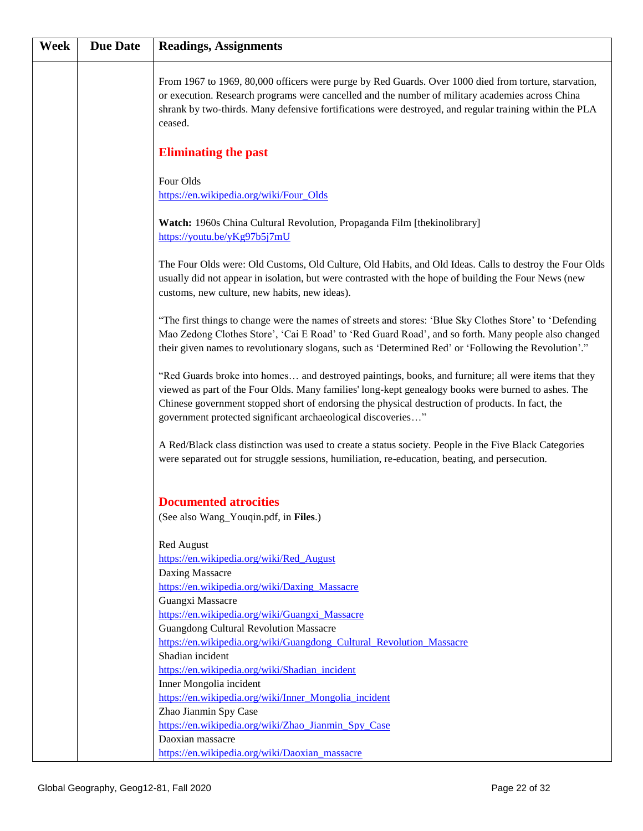| Week | <b>Due Date</b> | <b>Readings, Assignments</b>                                                                                                                                                                                                                                                                                                                                                    |
|------|-----------------|---------------------------------------------------------------------------------------------------------------------------------------------------------------------------------------------------------------------------------------------------------------------------------------------------------------------------------------------------------------------------------|
|      |                 | From 1967 to 1969, 80,000 officers were purge by Red Guards. Over 1000 died from torture, starvation,<br>or execution. Research programs were cancelled and the number of military academies across China<br>shrank by two-thirds. Many defensive fortifications were destroyed, and regular training within the PLA<br>ceased.                                                 |
|      |                 | <b>Eliminating the past</b>                                                                                                                                                                                                                                                                                                                                                     |
|      |                 | Four Olds<br>https://en.wikipedia.org/wiki/Four_Olds                                                                                                                                                                                                                                                                                                                            |
|      |                 | Watch: 1960s China Cultural Revolution, Propaganda Film [thekinolibrary]<br>https://youtu.be/yKg97b5j7mU                                                                                                                                                                                                                                                                        |
|      |                 | The Four Olds were: Old Customs, Old Culture, Old Habits, and Old Ideas. Calls to destroy the Four Olds<br>usually did not appear in isolation, but were contrasted with the hope of building the Four News (new<br>customs, new culture, new habits, new ideas).                                                                                                               |
|      |                 | "The first things to change were the names of streets and stores: 'Blue Sky Clothes Store' to 'Defending<br>Mao Zedong Clothes Store', 'Cai E Road' to 'Red Guard Road', and so forth. Many people also changed<br>their given names to revolutionary slogans, such as 'Determined Red' or 'Following the Revolution'."                                                         |
|      |                 | "Red Guards broke into homes and destroyed paintings, books, and furniture; all were items that they<br>viewed as part of the Four Olds. Many families' long-kept genealogy books were burned to ashes. The<br>Chinese government stopped short of endorsing the physical destruction of products. In fact, the<br>government protected significant archaeological discoveries" |
|      |                 | A Red/Black class distinction was used to create a status society. People in the Five Black Categories<br>were separated out for struggle sessions, humiliation, re-education, beating, and persecution.                                                                                                                                                                        |
|      |                 | <b>Documented atrocities</b><br>(See also Wang_Youqin.pdf, in Files.)                                                                                                                                                                                                                                                                                                           |
|      |                 | Red August<br>https://en.wikipedia.org/wiki/Red_August                                                                                                                                                                                                                                                                                                                          |
|      |                 | Daxing Massacre<br>https://en.wikipedia.org/wiki/Daxing Massacre<br>Guangxi Massacre                                                                                                                                                                                                                                                                                            |
|      |                 | https://en.wikipedia.org/wiki/Guangxi_Massacre<br><b>Guangdong Cultural Revolution Massacre</b><br>https://en.wikipedia.org/wiki/Guangdong Cultural Revolution Massacre                                                                                                                                                                                                         |
|      |                 | Shadian incident<br>https://en.wikipedia.org/wiki/Shadian_incident                                                                                                                                                                                                                                                                                                              |
|      |                 | Inner Mongolia incident<br>https://en.wikipedia.org/wiki/Inner Mongolia incident<br>Zhao Jianmin Spy Case                                                                                                                                                                                                                                                                       |
|      |                 | https://en.wikipedia.org/wiki/Zhao_Jianmin_Spy_Case<br>Daoxian massacre                                                                                                                                                                                                                                                                                                         |
|      |                 | https://en.wikipedia.org/wiki/Daoxian massacre                                                                                                                                                                                                                                                                                                                                  |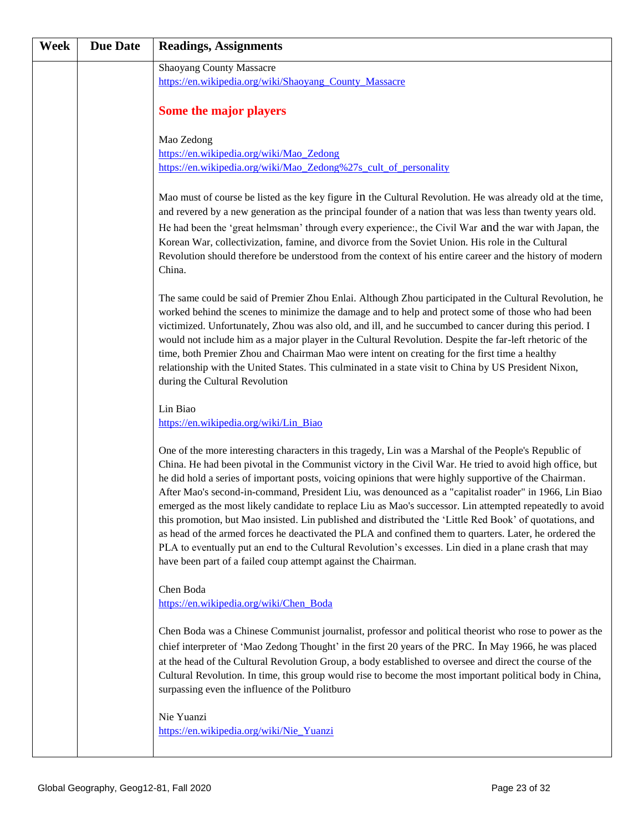| Week | <b>Due Date</b> | <b>Readings, Assignments</b>                                                                                                                                                                                                                                                                                                                                                                                                                                                                                                                                                                                                                                                                                                                                                                                                                                                                                                                         |
|------|-----------------|------------------------------------------------------------------------------------------------------------------------------------------------------------------------------------------------------------------------------------------------------------------------------------------------------------------------------------------------------------------------------------------------------------------------------------------------------------------------------------------------------------------------------------------------------------------------------------------------------------------------------------------------------------------------------------------------------------------------------------------------------------------------------------------------------------------------------------------------------------------------------------------------------------------------------------------------------|
|      |                 | <b>Shaoyang County Massacre</b>                                                                                                                                                                                                                                                                                                                                                                                                                                                                                                                                                                                                                                                                                                                                                                                                                                                                                                                      |
|      |                 | https://en.wikipedia.org/wiki/Shaoyang_County_Massacre                                                                                                                                                                                                                                                                                                                                                                                                                                                                                                                                                                                                                                                                                                                                                                                                                                                                                               |
|      |                 | Some the major players                                                                                                                                                                                                                                                                                                                                                                                                                                                                                                                                                                                                                                                                                                                                                                                                                                                                                                                               |
|      |                 | Mao Zedong                                                                                                                                                                                                                                                                                                                                                                                                                                                                                                                                                                                                                                                                                                                                                                                                                                                                                                                                           |
|      |                 | https://en.wikipedia.org/wiki/Mao_Zedong                                                                                                                                                                                                                                                                                                                                                                                                                                                                                                                                                                                                                                                                                                                                                                                                                                                                                                             |
|      |                 | https://en.wikipedia.org/wiki/Mao Zedong%27s cult of personality                                                                                                                                                                                                                                                                                                                                                                                                                                                                                                                                                                                                                                                                                                                                                                                                                                                                                     |
|      |                 | Mao must of course be listed as the key figure in the Cultural Revolution. He was already old at the time,<br>and revered by a new generation as the principal founder of a nation that was less than twenty years old.<br>He had been the 'great helmsman' through every experience:, the Civil War and the war with Japan, the<br>Korean War, collectivization, famine, and divorce from the Soviet Union. His role in the Cultural<br>Revolution should therefore be understood from the context of his entire career and the history of modern<br>China.                                                                                                                                                                                                                                                                                                                                                                                         |
|      |                 | The same could be said of Premier Zhou Enlai. Although Zhou participated in the Cultural Revolution, he<br>worked behind the scenes to minimize the damage and to help and protect some of those who had been<br>victimized. Unfortunately, Zhou was also old, and ill, and he succumbed to cancer during this period. I<br>would not include him as a major player in the Cultural Revolution. Despite the far-left rhetoric of the<br>time, both Premier Zhou and Chairman Mao were intent on creating for the first time a healthy<br>relationship with the United States. This culminated in a state visit to China by US President Nixon,<br>during the Cultural Revolution                                                                                                                                                                                                                                                                     |
|      |                 | Lin Biao                                                                                                                                                                                                                                                                                                                                                                                                                                                                                                                                                                                                                                                                                                                                                                                                                                                                                                                                             |
|      |                 | https://en.wikipedia.org/wiki/Lin_Biao                                                                                                                                                                                                                                                                                                                                                                                                                                                                                                                                                                                                                                                                                                                                                                                                                                                                                                               |
|      |                 | One of the more interesting characters in this tragedy, Lin was a Marshal of the People's Republic of<br>China. He had been pivotal in the Communist victory in the Civil War. He tried to avoid high office, but<br>he did hold a series of important posts, voicing opinions that were highly supportive of the Chairman.<br>After Mao's second-in-command, President Liu, was denounced as a "capitalist roader" in 1966, Lin Biao<br>emerged as the most likely candidate to replace Liu as Mao's successor. Lin attempted repeatedly to avoid<br>this promotion, but Mao insisted. Lin published and distributed the 'Little Red Book' of quotations, and<br>as head of the armed forces he deactivated the PLA and confined them to quarters. Later, he ordered the<br>PLA to eventually put an end to the Cultural Revolution's excesses. Lin died in a plane crash that may<br>have been part of a failed coup attempt against the Chairman. |
|      |                 | Chen Boda                                                                                                                                                                                                                                                                                                                                                                                                                                                                                                                                                                                                                                                                                                                                                                                                                                                                                                                                            |
|      |                 | https://en.wikipedia.org/wiki/Chen Boda                                                                                                                                                                                                                                                                                                                                                                                                                                                                                                                                                                                                                                                                                                                                                                                                                                                                                                              |
|      |                 | Chen Boda was a Chinese Communist journalist, professor and political theorist who rose to power as the<br>chief interpreter of 'Mao Zedong Thought' in the first 20 years of the PRC. In May 1966, he was placed<br>at the head of the Cultural Revolution Group, a body established to oversee and direct the course of the<br>Cultural Revolution. In time, this group would rise to become the most important political body in China,<br>surpassing even the influence of the Politburo                                                                                                                                                                                                                                                                                                                                                                                                                                                         |
|      |                 | Nie Yuanzi<br>https://en.wikipedia.org/wiki/Nie_Yuanzi                                                                                                                                                                                                                                                                                                                                                                                                                                                                                                                                                                                                                                                                                                                                                                                                                                                                                               |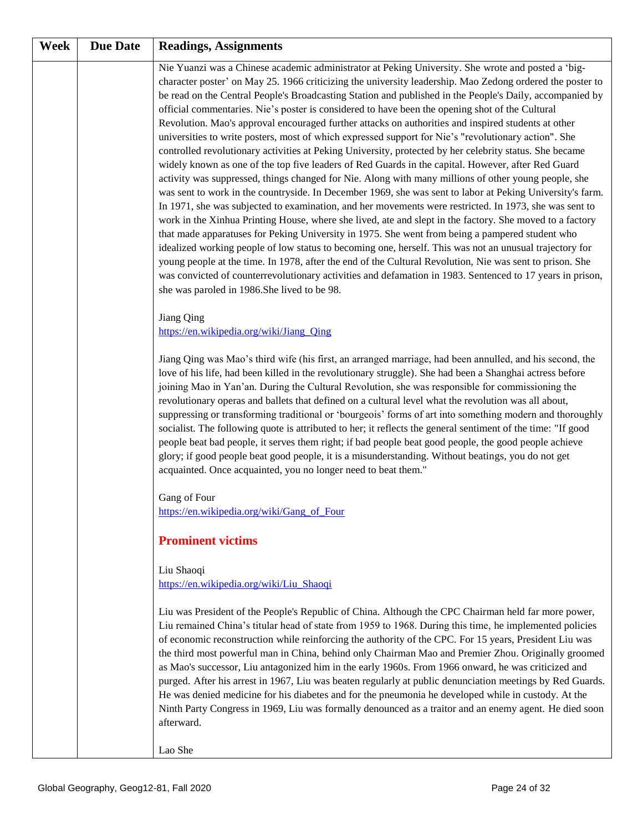| Week | <b>Due Date</b> | <b>Readings, Assignments</b>                                                                                                                                                                                                                                                                                                                                                                                                                                                                                                                                                                                                                                                                                                                                                                                                                                                                                                                                                                                                                                                                                                                                                                                                                                                                                                                                                                                                                                                                                                                                                                                                                                                                                                                                                                    |
|------|-----------------|-------------------------------------------------------------------------------------------------------------------------------------------------------------------------------------------------------------------------------------------------------------------------------------------------------------------------------------------------------------------------------------------------------------------------------------------------------------------------------------------------------------------------------------------------------------------------------------------------------------------------------------------------------------------------------------------------------------------------------------------------------------------------------------------------------------------------------------------------------------------------------------------------------------------------------------------------------------------------------------------------------------------------------------------------------------------------------------------------------------------------------------------------------------------------------------------------------------------------------------------------------------------------------------------------------------------------------------------------------------------------------------------------------------------------------------------------------------------------------------------------------------------------------------------------------------------------------------------------------------------------------------------------------------------------------------------------------------------------------------------------------------------------------------------------|
|      |                 | Nie Yuanzi was a Chinese academic administrator at Peking University. She wrote and posted a 'big-<br>character poster' on May 25. 1966 criticizing the university leadership. Mao Zedong ordered the poster to<br>be read on the Central People's Broadcasting Station and published in the People's Daily, accompanied by<br>official commentaries. Nie's poster is considered to have been the opening shot of the Cultural<br>Revolution. Mao's approval encouraged further attacks on authorities and inspired students at other<br>universities to write posters, most of which expressed support for Nie's "revolutionary action". She<br>controlled revolutionary activities at Peking University, protected by her celebrity status. She became<br>widely known as one of the top five leaders of Red Guards in the capital. However, after Red Guard<br>activity was suppressed, things changed for Nie. Along with many millions of other young people, she<br>was sent to work in the countryside. In December 1969, she was sent to labor at Peking University's farm.<br>In 1971, she was subjected to examination, and her movements were restricted. In 1973, she was sent to<br>work in the Xinhua Printing House, where she lived, ate and slept in the factory. She moved to a factory<br>that made apparatuses for Peking University in 1975. She went from being a pampered student who<br>idealized working people of low status to becoming one, herself. This was not an unusual trajectory for<br>young people at the time. In 1978, after the end of the Cultural Revolution, Nie was sent to prison. She<br>was convicted of counterrevolutionary activities and defamation in 1983. Sentenced to 17 years in prison,<br>she was paroled in 1986.She lived to be 98. |
|      |                 | Jiang Qing<br>https://en.wikipedia.org/wiki/Jiang Qing                                                                                                                                                                                                                                                                                                                                                                                                                                                                                                                                                                                                                                                                                                                                                                                                                                                                                                                                                                                                                                                                                                                                                                                                                                                                                                                                                                                                                                                                                                                                                                                                                                                                                                                                          |
|      |                 | Jiang Qing was Mao's third wife (his first, an arranged marriage, had been annulled, and his second, the<br>love of his life, had been killed in the revolutionary struggle). She had been a Shanghai actress before<br>joining Mao in Yan'an. During the Cultural Revolution, she was responsible for commissioning the<br>revolutionary operas and ballets that defined on a cultural level what the revolution was all about,<br>suppressing or transforming traditional or 'bourgeois' forms of art into something modern and thoroughly<br>socialist. The following quote is attributed to her; it reflects the general sentiment of the time: "If good<br>people beat bad people, it serves them right; if bad people beat good people, the good people achieve<br>glory; if good people beat good people, it is a misunderstanding. Without beatings, you do not get<br>acquainted. Once acquainted, you no longer need to beat them."                                                                                                                                                                                                                                                                                                                                                                                                                                                                                                                                                                                                                                                                                                                                                                                                                                                   |
|      |                 | Gang of Four<br>https://en.wikipedia.org/wiki/Gang_of_Four                                                                                                                                                                                                                                                                                                                                                                                                                                                                                                                                                                                                                                                                                                                                                                                                                                                                                                                                                                                                                                                                                                                                                                                                                                                                                                                                                                                                                                                                                                                                                                                                                                                                                                                                      |
|      |                 | <b>Prominent victims</b>                                                                                                                                                                                                                                                                                                                                                                                                                                                                                                                                                                                                                                                                                                                                                                                                                                                                                                                                                                                                                                                                                                                                                                                                                                                                                                                                                                                                                                                                                                                                                                                                                                                                                                                                                                        |
|      |                 | Liu Shaoqi<br>https://en.wikipedia.org/wiki/Liu Shaoqi                                                                                                                                                                                                                                                                                                                                                                                                                                                                                                                                                                                                                                                                                                                                                                                                                                                                                                                                                                                                                                                                                                                                                                                                                                                                                                                                                                                                                                                                                                                                                                                                                                                                                                                                          |
|      |                 | Liu was President of the People's Republic of China. Although the CPC Chairman held far more power,<br>Liu remained China's titular head of state from 1959 to 1968. During this time, he implemented policies<br>of economic reconstruction while reinforcing the authority of the CPC. For 15 years, President Liu was<br>the third most powerful man in China, behind only Chairman Mao and Premier Zhou. Originally groomed<br>as Mao's successor, Liu antagonized him in the early 1960s. From 1966 onward, he was criticized and<br>purged. After his arrest in 1967, Liu was beaten regularly at public denunciation meetings by Red Guards.<br>He was denied medicine for his diabetes and for the pneumonia he developed while in custody. At the<br>Ninth Party Congress in 1969, Liu was formally denounced as a traitor and an enemy agent. He died soon<br>afterward.<br>Lao She                                                                                                                                                                                                                                                                                                                                                                                                                                                                                                                                                                                                                                                                                                                                                                                                                                                                                                   |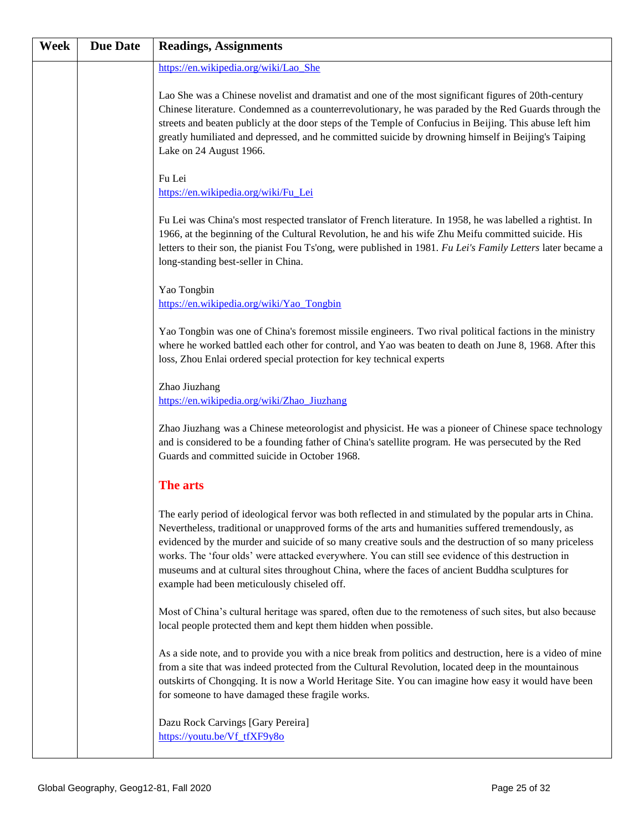| Week | <b>Due Date</b> | <b>Readings, Assignments</b>                                                                                                                                                                                                                                                                                                                                                                                                                                                                                                                                                       |
|------|-----------------|------------------------------------------------------------------------------------------------------------------------------------------------------------------------------------------------------------------------------------------------------------------------------------------------------------------------------------------------------------------------------------------------------------------------------------------------------------------------------------------------------------------------------------------------------------------------------------|
|      |                 | https://en.wikipedia.org/wiki/Lao She                                                                                                                                                                                                                                                                                                                                                                                                                                                                                                                                              |
|      |                 | Lao She was a Chinese novelist and dramatist and one of the most significant figures of 20th-century<br>Chinese literature. Condemned as a counterrevolutionary, he was paraded by the Red Guards through the<br>streets and beaten publicly at the door steps of the Temple of Confucius in Beijing. This abuse left him<br>greatly humiliated and depressed, and he committed suicide by drowning himself in Beijing's Taiping<br>Lake on 24 August 1966.                                                                                                                        |
|      |                 | Fu Lei<br>https://en.wikipedia.org/wiki/Fu Lei                                                                                                                                                                                                                                                                                                                                                                                                                                                                                                                                     |
|      |                 | Fu Lei was China's most respected translator of French literature. In 1958, he was labelled a rightist. In<br>1966, at the beginning of the Cultural Revolution, he and his wife Zhu Meifu committed suicide. His<br>letters to their son, the pianist Fou Ts'ong, were published in 1981. Fu Lei's Family Letters later became a<br>long-standing best-seller in China.                                                                                                                                                                                                           |
|      |                 | Yao Tongbin<br>https://en.wikipedia.org/wiki/Yao_Tongbin                                                                                                                                                                                                                                                                                                                                                                                                                                                                                                                           |
|      |                 | Yao Tongbin was one of China's foremost missile engineers. Two rival political factions in the ministry<br>where he worked battled each other for control, and Yao was beaten to death on June 8, 1968. After this<br>loss, Zhou Enlai ordered special protection for key technical experts                                                                                                                                                                                                                                                                                        |
|      |                 | Zhao Jiuzhang<br>https://en.wikipedia.org/wiki/Zhao_Jiuzhang                                                                                                                                                                                                                                                                                                                                                                                                                                                                                                                       |
|      |                 | Zhao Jiuzhang was a Chinese meteorologist and physicist. He was a pioneer of Chinese space technology<br>and is considered to be a founding father of China's satellite program. He was persecuted by the Red<br>Guards and committed suicide in October 1968.                                                                                                                                                                                                                                                                                                                     |
|      |                 | The arts                                                                                                                                                                                                                                                                                                                                                                                                                                                                                                                                                                           |
|      |                 | The early period of ideological fervor was both reflected in and stimulated by the popular arts in China.<br>Nevertheless, traditional or unapproved forms of the arts and humanities suffered tremendously, as<br>evidenced by the murder and suicide of so many creative souls and the destruction of so many priceless<br>works. The 'four olds' were attacked everywhere. You can still see evidence of this destruction in<br>museums and at cultural sites throughout China, where the faces of ancient Buddha sculptures for<br>example had been meticulously chiseled off. |
|      |                 | Most of China's cultural heritage was spared, often due to the remoteness of such sites, but also because<br>local people protected them and kept them hidden when possible.                                                                                                                                                                                                                                                                                                                                                                                                       |
|      |                 | As a side note, and to provide you with a nice break from politics and destruction, here is a video of mine<br>from a site that was indeed protected from the Cultural Revolution, located deep in the mountainous<br>outskirts of Chongqing. It is now a World Heritage Site. You can imagine how easy it would have been<br>for someone to have damaged these fragile works.                                                                                                                                                                                                     |
|      |                 | Dazu Rock Carvings [Gary Pereira]<br>https://youtu.be/Vf tfXF9y8o                                                                                                                                                                                                                                                                                                                                                                                                                                                                                                                  |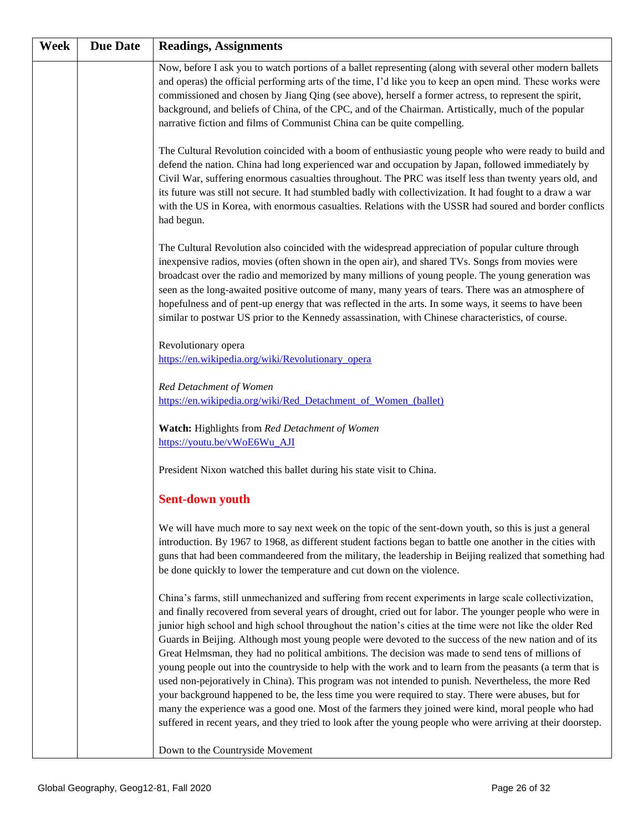| Week | <b>Due Date</b> | <b>Readings, Assignments</b>                                                                                                                                                                                                                                                                                                                                                                                                                                                                                                                                                                                                                                                                                                                                                                                                                                                                                                                                                                                                                                                                          |
|------|-----------------|-------------------------------------------------------------------------------------------------------------------------------------------------------------------------------------------------------------------------------------------------------------------------------------------------------------------------------------------------------------------------------------------------------------------------------------------------------------------------------------------------------------------------------------------------------------------------------------------------------------------------------------------------------------------------------------------------------------------------------------------------------------------------------------------------------------------------------------------------------------------------------------------------------------------------------------------------------------------------------------------------------------------------------------------------------------------------------------------------------|
|      |                 | Now, before I ask you to watch portions of a ballet representing (along with several other modern ballets<br>and operas) the official performing arts of the time, I'd like you to keep an open mind. These works were<br>commissioned and chosen by Jiang Qing (see above), herself a former actress, to represent the spirit,<br>background, and beliefs of China, of the CPC, and of the Chairman. Artistically, much of the popular<br>narrative fiction and films of Communist China can be quite compelling.                                                                                                                                                                                                                                                                                                                                                                                                                                                                                                                                                                                    |
|      |                 | The Cultural Revolution coincided with a boom of enthusiastic young people who were ready to build and<br>defend the nation. China had long experienced war and occupation by Japan, followed immediately by<br>Civil War, suffering enormous casualties throughout. The PRC was itself less than twenty years old, and<br>its future was still not secure. It had stumbled badly with collectivization. It had fought to a draw a war<br>with the US in Korea, with enormous casualties. Relations with the USSR had soured and border conflicts<br>had begun.                                                                                                                                                                                                                                                                                                                                                                                                                                                                                                                                       |
|      |                 | The Cultural Revolution also coincided with the widespread appreciation of popular culture through<br>inexpensive radios, movies (often shown in the open air), and shared TVs. Songs from movies were<br>broadcast over the radio and memorized by many millions of young people. The young generation was<br>seen as the long-awaited positive outcome of many, many years of tears. There was an atmosphere of<br>hopefulness and of pent-up energy that was reflected in the arts. In some ways, it seems to have been<br>similar to postwar US prior to the Kennedy assassination, with Chinese characteristics, of course.                                                                                                                                                                                                                                                                                                                                                                                                                                                                      |
|      |                 | Revolutionary opera<br>https://en.wikipedia.org/wiki/Revolutionary_opera                                                                                                                                                                                                                                                                                                                                                                                                                                                                                                                                                                                                                                                                                                                                                                                                                                                                                                                                                                                                                              |
|      |                 | Red Detachment of Women<br>https://en.wikipedia.org/wiki/Red_Detachment_of_Women_(ballet)                                                                                                                                                                                                                                                                                                                                                                                                                                                                                                                                                                                                                                                                                                                                                                                                                                                                                                                                                                                                             |
|      |                 | Watch: Highlights from Red Detachment of Women<br>https://youtu.be/vWoE6Wu_AJI                                                                                                                                                                                                                                                                                                                                                                                                                                                                                                                                                                                                                                                                                                                                                                                                                                                                                                                                                                                                                        |
|      |                 | President Nixon watched this ballet during his state visit to China.                                                                                                                                                                                                                                                                                                                                                                                                                                                                                                                                                                                                                                                                                                                                                                                                                                                                                                                                                                                                                                  |
|      |                 | <b>Sent-down youth</b>                                                                                                                                                                                                                                                                                                                                                                                                                                                                                                                                                                                                                                                                                                                                                                                                                                                                                                                                                                                                                                                                                |
|      |                 | We will have much more to say next week on the topic of the sent-down youth, so this is just a general<br>introduction. By 1967 to 1968, as different student factions began to battle one another in the cities with<br>guns that had been commandeered from the military, the leadership in Beijing realized that something had<br>be done quickly to lower the temperature and cut down on the violence.                                                                                                                                                                                                                                                                                                                                                                                                                                                                                                                                                                                                                                                                                           |
|      |                 | China's farms, still unmechanized and suffering from recent experiments in large scale collectivization,<br>and finally recovered from several years of drought, cried out for labor. The younger people who were in<br>junior high school and high school throughout the nation's cities at the time were not like the older Red<br>Guards in Beijing. Although most young people were devoted to the success of the new nation and of its<br>Great Helmsman, they had no political ambitions. The decision was made to send tens of millions of<br>young people out into the countryside to help with the work and to learn from the peasants (a term that is<br>used non-pejoratively in China). This program was not intended to punish. Nevertheless, the more Red<br>your background happened to be, the less time you were required to stay. There were abuses, but for<br>many the experience was a good one. Most of the farmers they joined were kind, moral people who had<br>suffered in recent years, and they tried to look after the young people who were arriving at their doorstep. |
|      |                 | Down to the Countryside Movement                                                                                                                                                                                                                                                                                                                                                                                                                                                                                                                                                                                                                                                                                                                                                                                                                                                                                                                                                                                                                                                                      |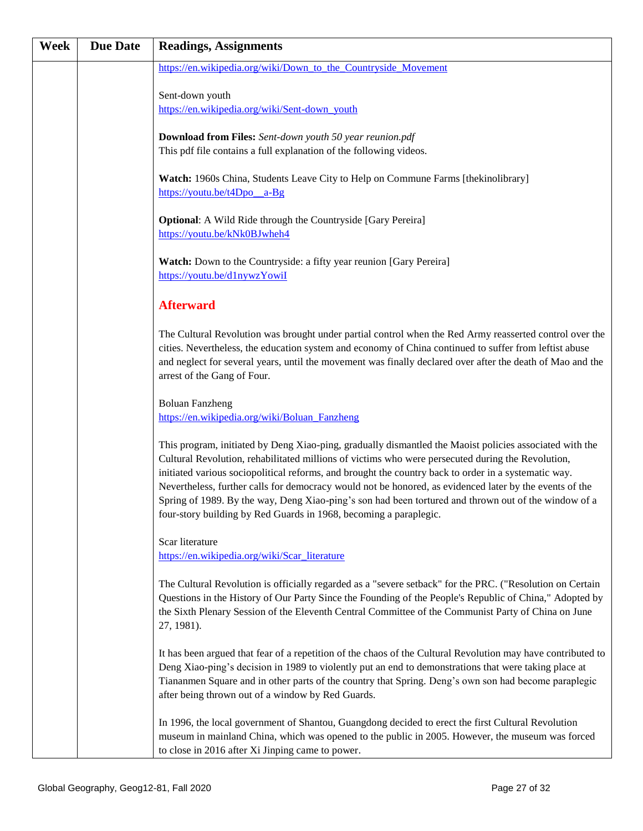| <b>Week</b> | <b>Due Date</b> | <b>Readings, Assignments</b>                                                                                                                                                                                                                                                                                                                                                                                                                                                                                                                                                                                 |
|-------------|-----------------|--------------------------------------------------------------------------------------------------------------------------------------------------------------------------------------------------------------------------------------------------------------------------------------------------------------------------------------------------------------------------------------------------------------------------------------------------------------------------------------------------------------------------------------------------------------------------------------------------------------|
|             |                 | https://en.wikipedia.org/wiki/Down_to_the_Countryside_Movement                                                                                                                                                                                                                                                                                                                                                                                                                                                                                                                                               |
|             |                 | Sent-down youth                                                                                                                                                                                                                                                                                                                                                                                                                                                                                                                                                                                              |
|             |                 | https://en.wikipedia.org/wiki/Sent-down_youth                                                                                                                                                                                                                                                                                                                                                                                                                                                                                                                                                                |
|             |                 | <b>Download from Files:</b> Sent-down youth 50 year reunion.pdf                                                                                                                                                                                                                                                                                                                                                                                                                                                                                                                                              |
|             |                 | This pdf file contains a full explanation of the following videos.                                                                                                                                                                                                                                                                                                                                                                                                                                                                                                                                           |
|             |                 | Watch: 1960s China, Students Leave City to Help on Commune Farms [thekinolibrary]<br>https://youtu.be/t4Dpo a-Bg                                                                                                                                                                                                                                                                                                                                                                                                                                                                                             |
|             |                 | <b>Optional:</b> A Wild Ride through the Countryside [Gary Pereira]<br>https://youtu.be/kNk0BJwheh4                                                                                                                                                                                                                                                                                                                                                                                                                                                                                                          |
|             |                 | Watch: Down to the Countryside: a fifty year reunion [Gary Pereira]<br>https://youtu.be/d1nywzYowiI                                                                                                                                                                                                                                                                                                                                                                                                                                                                                                          |
|             |                 | <b>Afterward</b>                                                                                                                                                                                                                                                                                                                                                                                                                                                                                                                                                                                             |
|             |                 | The Cultural Revolution was brought under partial control when the Red Army reasserted control over the<br>cities. Nevertheless, the education system and economy of China continued to suffer from leftist abuse<br>and neglect for several years, until the movement was finally declared over after the death of Mao and the<br>arrest of the Gang of Four.                                                                                                                                                                                                                                               |
|             |                 | <b>Boluan Fanzheng</b><br>https://en.wikipedia.org/wiki/Boluan_Fanzheng                                                                                                                                                                                                                                                                                                                                                                                                                                                                                                                                      |
|             |                 | This program, initiated by Deng Xiao-ping, gradually dismantled the Maoist policies associated with the<br>Cultural Revolution, rehabilitated millions of victims who were persecuted during the Revolution,<br>initiated various sociopolitical reforms, and brought the country back to order in a systematic way.<br>Nevertheless, further calls for democracy would not be honored, as evidenced later by the events of the<br>Spring of 1989. By the way, Deng Xiao-ping's son had been tortured and thrown out of the window of a<br>four-story building by Red Guards in 1968, becoming a paraplegic. |
|             |                 | Scar literature<br>https://en.wikipedia.org/wiki/Scar literature                                                                                                                                                                                                                                                                                                                                                                                                                                                                                                                                             |
|             |                 | The Cultural Revolution is officially regarded as a "severe setback" for the PRC. ("Resolution on Certain<br>Questions in the History of Our Party Since the Founding of the People's Republic of China," Adopted by<br>the Sixth Plenary Session of the Eleventh Central Committee of the Communist Party of China on June<br>27, 1981).                                                                                                                                                                                                                                                                    |
|             |                 | It has been argued that fear of a repetition of the chaos of the Cultural Revolution may have contributed to<br>Deng Xiao-ping's decision in 1989 to violently put an end to demonstrations that were taking place at<br>Tiananmen Square and in other parts of the country that Spring. Deng's own son had become paraplegic<br>after being thrown out of a window by Red Guards.                                                                                                                                                                                                                           |
|             |                 | In 1996, the local government of Shantou, Guangdong decided to erect the first Cultural Revolution<br>museum in mainland China, which was opened to the public in 2005. However, the museum was forced<br>to close in 2016 after Xi Jinping came to power.                                                                                                                                                                                                                                                                                                                                                   |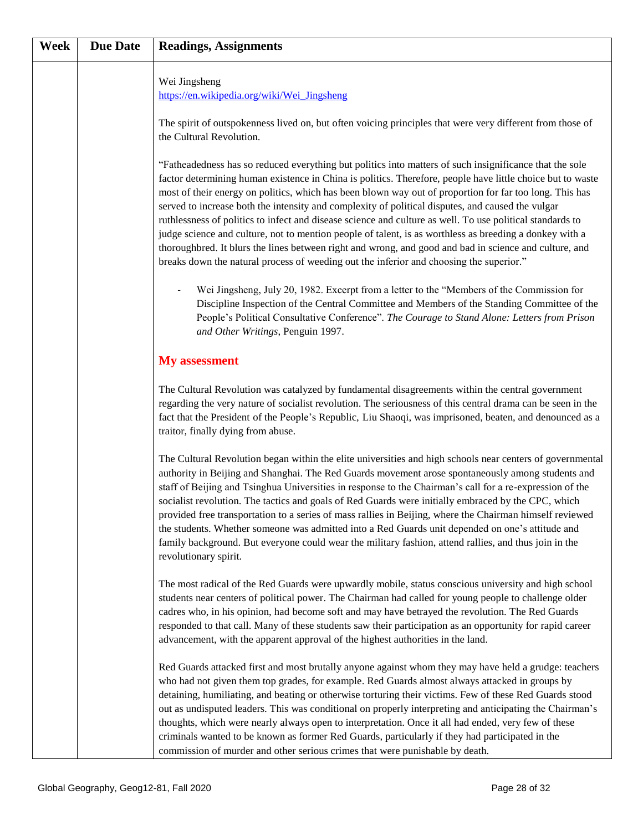| Week | <b>Due Date</b> | <b>Readings, Assignments</b>                                                                                                                                                                                                                                                                                                                                                                                                                                                                                                                                                                                                                                                                                                                                                                                                                                       |
|------|-----------------|--------------------------------------------------------------------------------------------------------------------------------------------------------------------------------------------------------------------------------------------------------------------------------------------------------------------------------------------------------------------------------------------------------------------------------------------------------------------------------------------------------------------------------------------------------------------------------------------------------------------------------------------------------------------------------------------------------------------------------------------------------------------------------------------------------------------------------------------------------------------|
|      |                 | Wei Jingsheng<br>https://en.wikipedia.org/wiki/Wei_Jingsheng                                                                                                                                                                                                                                                                                                                                                                                                                                                                                                                                                                                                                                                                                                                                                                                                       |
|      |                 | The spirit of outspokenness lived on, but often voicing principles that were very different from those of<br>the Cultural Revolution.                                                                                                                                                                                                                                                                                                                                                                                                                                                                                                                                                                                                                                                                                                                              |
|      |                 | "Fatheadedness has so reduced everything but politics into matters of such insignificance that the sole<br>factor determining human existence in China is politics. Therefore, people have little choice but to waste<br>most of their energy on politics, which has been blown way out of proportion for far too long. This has<br>served to increase both the intensity and complexity of political disputes, and caused the vulgar<br>ruthlessness of politics to infect and disease science and culture as well. To use political standards to<br>judge science and culture, not to mention people of talent, is as worthless as breeding a donkey with a<br>thoroughbred. It blurs the lines between right and wrong, and good and bad in science and culture, and<br>breaks down the natural process of weeding out the inferior and choosing the superior." |
|      |                 | Wei Jingsheng, July 20, 1982. Excerpt from a letter to the "Members of the Commission for<br>Discipline Inspection of the Central Committee and Members of the Standing Committee of the<br>People's Political Consultative Conference". The Courage to Stand Alone: Letters from Prison<br>and Other Writings, Penguin 1997.                                                                                                                                                                                                                                                                                                                                                                                                                                                                                                                                      |
|      |                 | <b>My</b> assessment                                                                                                                                                                                                                                                                                                                                                                                                                                                                                                                                                                                                                                                                                                                                                                                                                                               |
|      |                 | The Cultural Revolution was catalyzed by fundamental disagreements within the central government<br>regarding the very nature of socialist revolution. The seriousness of this central drama can be seen in the<br>fact that the President of the People's Republic, Liu Shaoqi, was imprisoned, beaten, and denounced as a<br>traitor, finally dying from abuse.                                                                                                                                                                                                                                                                                                                                                                                                                                                                                                  |
|      |                 | The Cultural Revolution began within the elite universities and high schools near centers of governmental<br>authority in Beijing and Shanghai. The Red Guards movement arose spontaneously among students and<br>staff of Beijing and Tsinghua Universities in response to the Chairman's call for a re-expression of the<br>socialist revolution. The tactics and goals of Red Guards were initially embraced by the CPC, which<br>provided free transportation to a series of mass rallies in Beijing, where the Chairman himself reviewed<br>the students. Whether someone was admitted into a Red Guards unit depended on one's attitude and<br>family background. But everyone could wear the military fashion, attend rallies, and thus join in the<br>revolutionary spirit.                                                                                |
|      |                 | The most radical of the Red Guards were upwardly mobile, status conscious university and high school<br>students near centers of political power. The Chairman had called for young people to challenge older<br>cadres who, in his opinion, had become soft and may have betrayed the revolution. The Red Guards<br>responded to that call. Many of these students saw their participation as an opportunity for rapid career<br>advancement, with the apparent approval of the highest authorities in the land.                                                                                                                                                                                                                                                                                                                                                  |
|      |                 | Red Guards attacked first and most brutally anyone against whom they may have held a grudge: teachers<br>who had not given them top grades, for example. Red Guards almost always attacked in groups by<br>detaining, humiliating, and beating or otherwise torturing their victims. Few of these Red Guards stood<br>out as undisputed leaders. This was conditional on properly interpreting and anticipating the Chairman's<br>thoughts, which were nearly always open to interpretation. Once it all had ended, very few of these<br>criminals wanted to be known as former Red Guards, particularly if they had participated in the<br>commission of murder and other serious crimes that were punishable by death.                                                                                                                                           |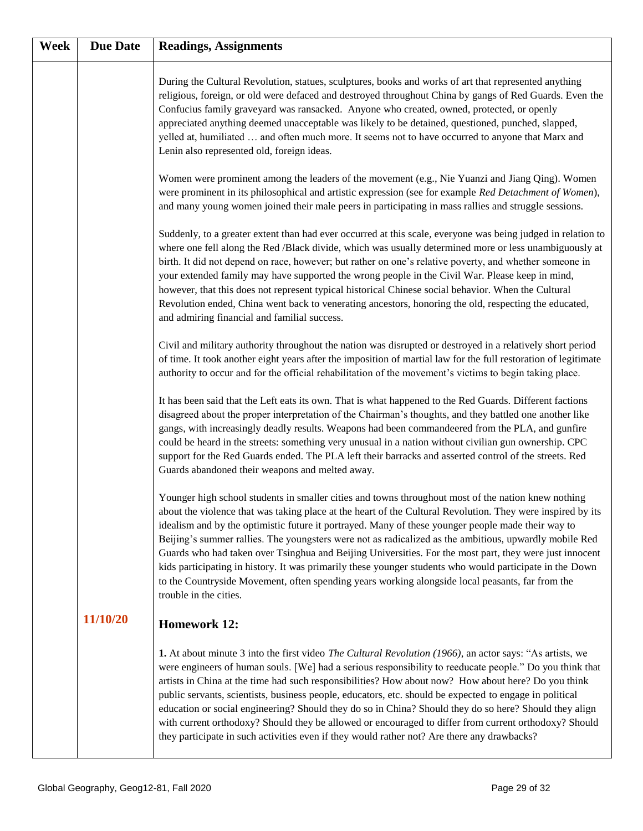| Week | <b>Due Date</b> | <b>Readings, Assignments</b>                                                                                                                                                                                                                                                                                                                                                                                                                                                                                                                                                                                                                                                                                                                                                            |
|------|-----------------|-----------------------------------------------------------------------------------------------------------------------------------------------------------------------------------------------------------------------------------------------------------------------------------------------------------------------------------------------------------------------------------------------------------------------------------------------------------------------------------------------------------------------------------------------------------------------------------------------------------------------------------------------------------------------------------------------------------------------------------------------------------------------------------------|
|      |                 | During the Cultural Revolution, statues, sculptures, books and works of art that represented anything<br>religious, foreign, or old were defaced and destroyed throughout China by gangs of Red Guards. Even the<br>Confucius family graveyard was ransacked. Anyone who created, owned, protected, or openly<br>appreciated anything deemed unacceptable was likely to be detained, questioned, punched, slapped,<br>yelled at, humiliated  and often much more. It seems not to have occurred to anyone that Marx and<br>Lenin also represented old, foreign ideas.                                                                                                                                                                                                                   |
|      |                 | Women were prominent among the leaders of the movement (e.g., Nie Yuanzi and Jiang Qing). Women<br>were prominent in its philosophical and artistic expression (see for example Red Detachment of Women),<br>and many young women joined their male peers in participating in mass rallies and struggle sessions.                                                                                                                                                                                                                                                                                                                                                                                                                                                                       |
|      |                 | Suddenly, to a greater extent than had ever occurred at this scale, everyone was being judged in relation to<br>where one fell along the Red /Black divide, which was usually determined more or less unambiguously at<br>birth. It did not depend on race, however; but rather on one's relative poverty, and whether someone in<br>your extended family may have supported the wrong people in the Civil War. Please keep in mind,<br>however, that this does not represent typical historical Chinese social behavior. When the Cultural<br>Revolution ended, China went back to venerating ancestors, honoring the old, respecting the educated,<br>and admiring financial and familial success.                                                                                    |
|      |                 | Civil and military authority throughout the nation was disrupted or destroyed in a relatively short period<br>of time. It took another eight years after the imposition of martial law for the full restoration of legitimate<br>authority to occur and for the official rehabilitation of the movement's victims to begin taking place.                                                                                                                                                                                                                                                                                                                                                                                                                                                |
|      |                 | It has been said that the Left eats its own. That is what happened to the Red Guards. Different factions<br>disagreed about the proper interpretation of the Chairman's thoughts, and they battled one another like<br>gangs, with increasingly deadly results. Weapons had been commandeered from the PLA, and gunfire<br>could be heard in the streets: something very unusual in a nation without civilian gun ownership. CPC<br>support for the Red Guards ended. The PLA left their barracks and asserted control of the streets. Red<br>Guards abandoned their weapons and melted away.                                                                                                                                                                                           |
|      |                 | Younger high school students in smaller cities and towns throughout most of the nation knew nothing<br>about the violence that was taking place at the heart of the Cultural Revolution. They were inspired by its<br>idealism and by the optimistic future it portrayed. Many of these younger people made their way to<br>Beijing's summer rallies. The youngsters were not as radicalized as the ambitious, upwardly mobile Red<br>Guards who had taken over Tsinghua and Beijing Universities. For the most part, they were just innocent<br>kids participating in history. It was primarily these younger students who would participate in the Down<br>to the Countryside Movement, often spending years working alongside local peasants, far from the<br>trouble in the cities. |
|      | 11/10/20        | <b>Homework 12:</b>                                                                                                                                                                                                                                                                                                                                                                                                                                                                                                                                                                                                                                                                                                                                                                     |
|      |                 | 1. At about minute 3 into the first video <i>The Cultural Revolution</i> (1966), an actor says: "As artists, we<br>were engineers of human souls. [We] had a serious responsibility to reeducate people." Do you think that<br>artists in China at the time had such responsibilities? How about now? How about here? Do you think<br>public servants, scientists, business people, educators, etc. should be expected to engage in political<br>education or social engineering? Should they do so in China? Should they do so here? Should they align<br>with current orthodoxy? Should they be allowed or encouraged to differ from current orthodoxy? Should<br>they participate in such activities even if they would rather not? Are there any drawbacks?                         |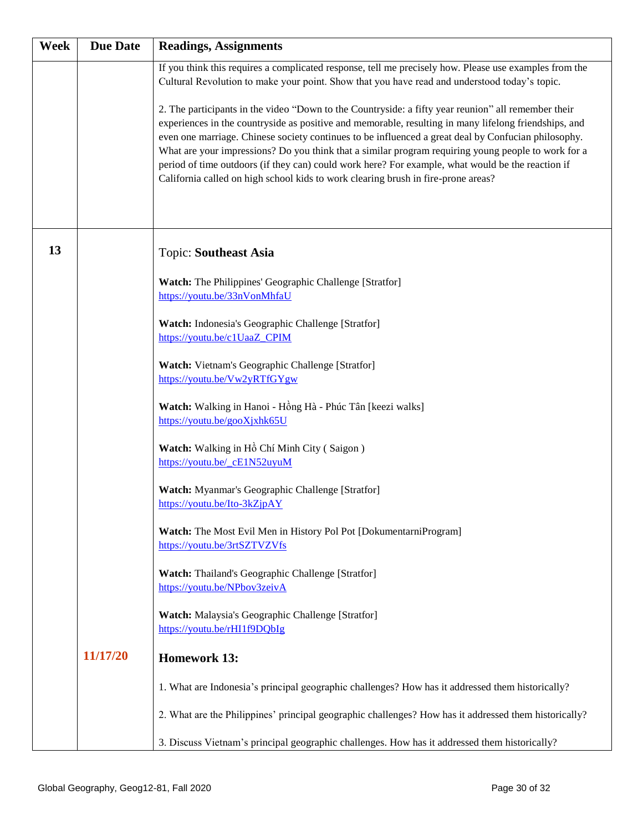| Week | <b>Due Date</b> | <b>Readings, Assignments</b>                                                                                                                                                                                                                                                                                                                                                                                                                                                                                                                                                                                         |
|------|-----------------|----------------------------------------------------------------------------------------------------------------------------------------------------------------------------------------------------------------------------------------------------------------------------------------------------------------------------------------------------------------------------------------------------------------------------------------------------------------------------------------------------------------------------------------------------------------------------------------------------------------------|
|      |                 | If you think this requires a complicated response, tell me precisely how. Please use examples from the<br>Cultural Revolution to make your point. Show that you have read and understood today's topic.                                                                                                                                                                                                                                                                                                                                                                                                              |
|      |                 | 2. The participants in the video "Down to the Countryside: a fifty year reunion" all remember their<br>experiences in the countryside as positive and memorable, resulting in many lifelong friendships, and<br>even one marriage. Chinese society continues to be influenced a great deal by Confucian philosophy.<br>What are your impressions? Do you think that a similar program requiring young people to work for a<br>period of time outdoors (if they can) could work here? For example, what would be the reaction if<br>California called on high school kids to work clearing brush in fire-prone areas? |
| 13   |                 | <b>Topic: Southeast Asia</b>                                                                                                                                                                                                                                                                                                                                                                                                                                                                                                                                                                                         |
|      |                 | Watch: The Philippines' Geographic Challenge [Stratfor]<br>https://youtu.be/33nVonMhfaU                                                                                                                                                                                                                                                                                                                                                                                                                                                                                                                              |
|      |                 | Watch: Indonesia's Geographic Challenge [Stratfor]<br>https://youtu.be/c1UaaZ_CPIM                                                                                                                                                                                                                                                                                                                                                                                                                                                                                                                                   |
|      |                 | Watch: Vietnam's Geographic Challenge [Stratfor]<br>https://youtu.be/Vw2yRTfGYgw                                                                                                                                                                                                                                                                                                                                                                                                                                                                                                                                     |
|      |                 | Watch: Walking in Hanoi - Hồng Hà - Phúc Tân [keezi walks]<br>https://youtu.be/gooXjxhk65U                                                                                                                                                                                                                                                                                                                                                                                                                                                                                                                           |
|      |                 | Watch: Walking in Hồ Chí Minh City (Saigon)<br>https://youtu.be/ cE1N52uyuM                                                                                                                                                                                                                                                                                                                                                                                                                                                                                                                                          |
|      |                 | Watch: Myanmar's Geographic Challenge [Stratfor]<br>https://youtu.be/Ito-3kZjpAY                                                                                                                                                                                                                                                                                                                                                                                                                                                                                                                                     |
|      |                 | Watch: The Most Evil Men in History Pol Pot [DokumentarniProgram]<br>https://youtu.be/3rtSZTVZVfs                                                                                                                                                                                                                                                                                                                                                                                                                                                                                                                    |
|      |                 | Watch: Thailand's Geographic Challenge [Stratfor]<br>https://youtu.be/NPbov3zeivA                                                                                                                                                                                                                                                                                                                                                                                                                                                                                                                                    |
|      |                 | Watch: Malaysia's Geographic Challenge [Stratfor]<br>https://youtu.be/rHI1f9DQbIg                                                                                                                                                                                                                                                                                                                                                                                                                                                                                                                                    |
|      | 11/17/20        | <b>Homework 13:</b>                                                                                                                                                                                                                                                                                                                                                                                                                                                                                                                                                                                                  |
|      |                 | 1. What are Indonesia's principal geographic challenges? How has it addressed them historically?                                                                                                                                                                                                                                                                                                                                                                                                                                                                                                                     |
|      |                 | 2. What are the Philippines' principal geographic challenges? How has it addressed them historically?                                                                                                                                                                                                                                                                                                                                                                                                                                                                                                                |
|      |                 | 3. Discuss Vietnam's principal geographic challenges. How has it addressed them historically?                                                                                                                                                                                                                                                                                                                                                                                                                                                                                                                        |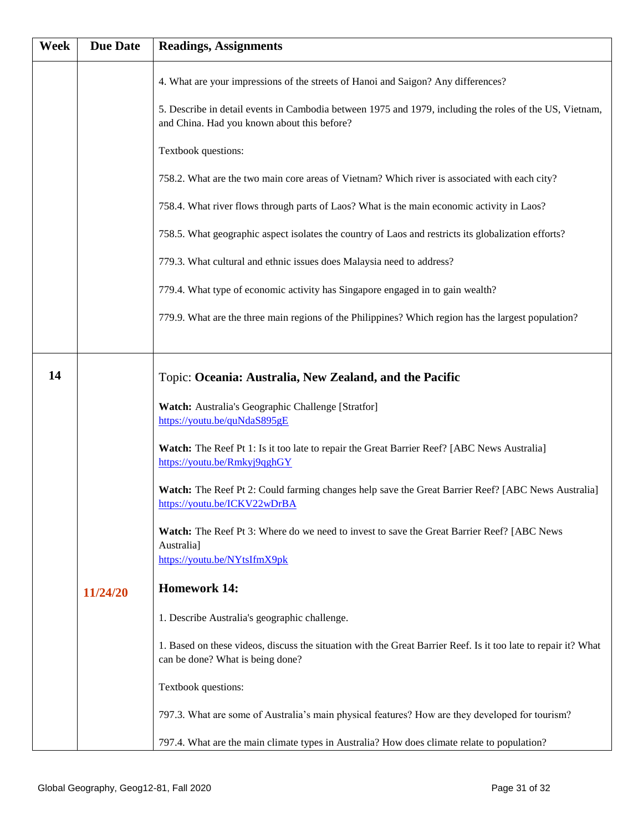| <b>Week</b> | <b>Due Date</b> | <b>Readings, Assignments</b>                                                                                                                                                                 |
|-------------|-----------------|----------------------------------------------------------------------------------------------------------------------------------------------------------------------------------------------|
|             |                 | 4. What are your impressions of the streets of Hanoi and Saigon? Any differences?<br>5. Describe in detail events in Cambodia between 1975 and 1979, including the roles of the US, Vietnam, |
|             |                 | and China. Had you known about this before?                                                                                                                                                  |
|             |                 | Textbook questions:                                                                                                                                                                          |
|             |                 | 758.2. What are the two main core areas of Vietnam? Which river is associated with each city?                                                                                                |
|             |                 | 758.4. What river flows through parts of Laos? What is the main economic activity in Laos?                                                                                                   |
|             |                 | 758.5. What geographic aspect isolates the country of Laos and restricts its globalization efforts?                                                                                          |
|             |                 | 779.3. What cultural and ethnic issues does Malaysia need to address?                                                                                                                        |
|             |                 | 779.4. What type of economic activity has Singapore engaged in to gain wealth?                                                                                                               |
|             |                 | 779.9. What are the three main regions of the Philippines? Which region has the largest population?                                                                                          |
|             |                 |                                                                                                                                                                                              |
| 14          |                 | Topic: Oceania: Australia, New Zealand, and the Pacific                                                                                                                                      |
|             |                 | Watch: Australia's Geographic Challenge [Stratfor]<br>https://youtu.be/quNdaS895gE                                                                                                           |
|             |                 | Watch: The Reef Pt 1: Is it too late to repair the Great Barrier Reef? [ABC News Australia]<br>https://youtu.be/Rmkyj9qghGY                                                                  |
|             |                 | Watch: The Reef Pt 2: Could farming changes help save the Great Barrier Reef? [ABC News Australia]<br>https://youtu.be/ICKV22wDrBA                                                           |
|             |                 | Watch: The Reef Pt 3: Where do we need to invest to save the Great Barrier Reef? [ABC News<br>Australia]                                                                                     |
|             |                 | https://youtu.be/NYtsIfmX9pk                                                                                                                                                                 |
|             | 11/24/20        | <b>Homework 14:</b>                                                                                                                                                                          |
|             |                 | 1. Describe Australia's geographic challenge.                                                                                                                                                |
|             |                 | 1. Based on these videos, discuss the situation with the Great Barrier Reef. Is it too late to repair it? What<br>can be done? What is being done?                                           |
|             |                 | Textbook questions:                                                                                                                                                                          |
|             |                 | 797.3. What are some of Australia's main physical features? How are they developed for tourism?                                                                                              |
|             |                 | 797.4. What are the main climate types in Australia? How does climate relate to population?                                                                                                  |